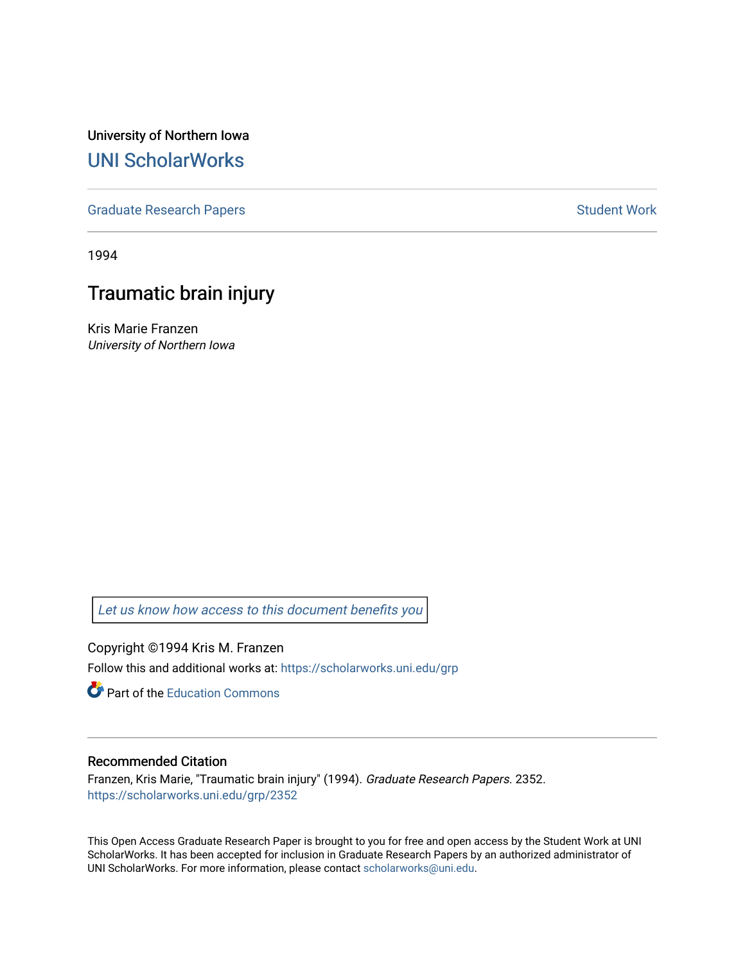University of Northern Iowa [UNI ScholarWorks](https://scholarworks.uni.edu/) 

[Graduate Research Papers](https://scholarworks.uni.edu/grp) **Student Work** Student Work

1994

# Traumatic brain injury

Kris Marie Franzen University of Northern Iowa

[Let us know how access to this document benefits you](https://scholarworks.uni.edu/feedback_form.html) 

Copyright ©1994 Kris M. Franzen Follow this and additional works at: [https://scholarworks.uni.edu/grp](https://scholarworks.uni.edu/grp?utm_source=scholarworks.uni.edu%2Fgrp%2F2352&utm_medium=PDF&utm_campaign=PDFCoverPages) 

**C** Part of the [Education Commons](http://network.bepress.com/hgg/discipline/784?utm_source=scholarworks.uni.edu%2Fgrp%2F2352&utm_medium=PDF&utm_campaign=PDFCoverPages)

# Recommended Citation

Franzen, Kris Marie, "Traumatic brain injury" (1994). Graduate Research Papers. 2352. [https://scholarworks.uni.edu/grp/2352](https://scholarworks.uni.edu/grp/2352?utm_source=scholarworks.uni.edu%2Fgrp%2F2352&utm_medium=PDF&utm_campaign=PDFCoverPages) 

This Open Access Graduate Research Paper is brought to you for free and open access by the Student Work at UNI ScholarWorks. It has been accepted for inclusion in Graduate Research Papers by an authorized administrator of UNI ScholarWorks. For more information, please contact [scholarworks@uni.edu.](mailto:scholarworks@uni.edu)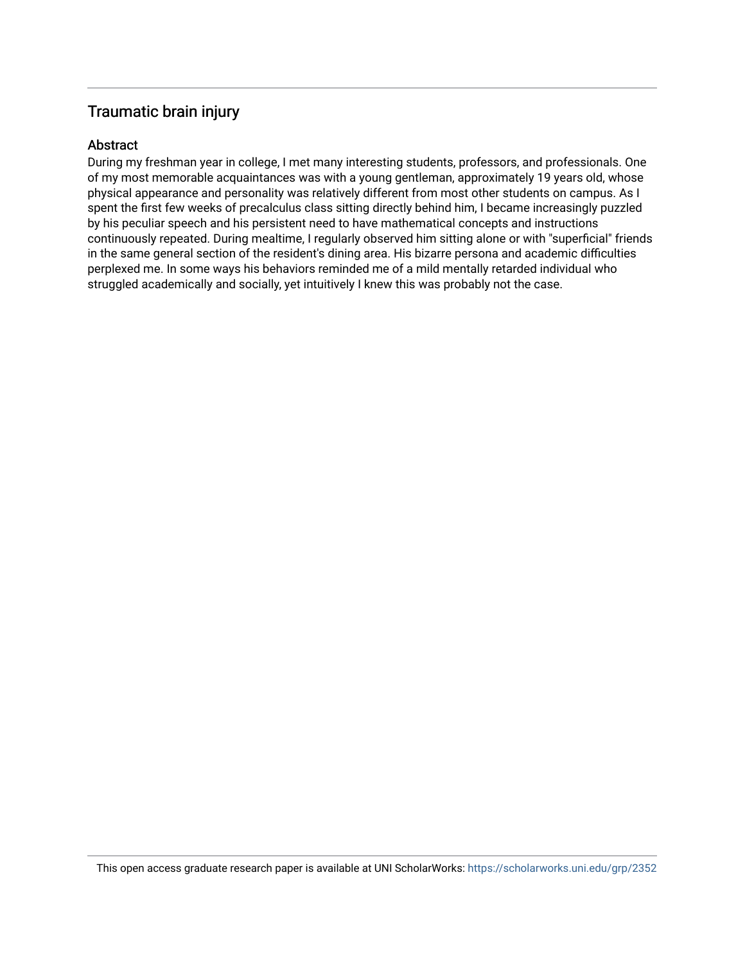# Traumatic brain injury

# Abstract

During my freshman year in college, I met many interesting students, professors, and professionals. One of my most memorable acquaintances was with a young gentleman, approximately 19 years old, whose physical appearance and personality was relatively different from most other students on campus. As I spent the first few weeks of precalculus class sitting directly behind him, I became increasingly puzzled by his peculiar speech and his persistent need to have mathematical concepts and instructions continuously repeated. During mealtime, I regularly observed him sitting alone or with "superficial" friends in the same general section of the resident's dining area. His bizarre persona and academic difficulties perplexed me. In some ways his behaviors reminded me of a mild mentally retarded individual who struggled academically and socially, yet intuitively I knew this was probably not the case.

This open access graduate research paper is available at UNI ScholarWorks: <https://scholarworks.uni.edu/grp/2352>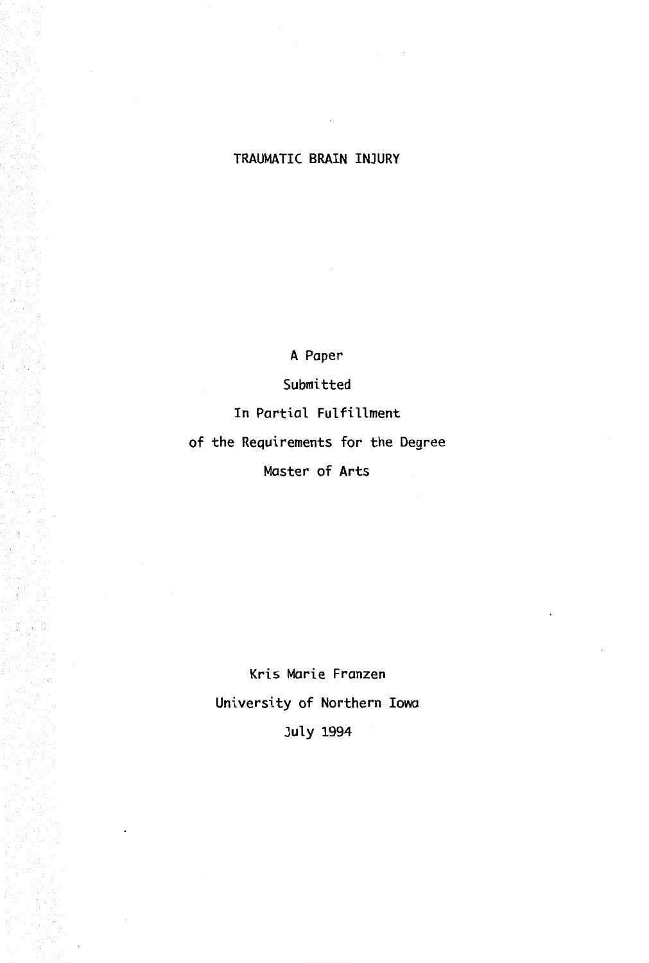# **TRAUMATIC BRAIN INJURY**

A Paper

Submitted

In Partial Fulfillment

of the Requirements for the Degree

Master of Arts

Kris Marie Franzen University of Northern Iowa July 1994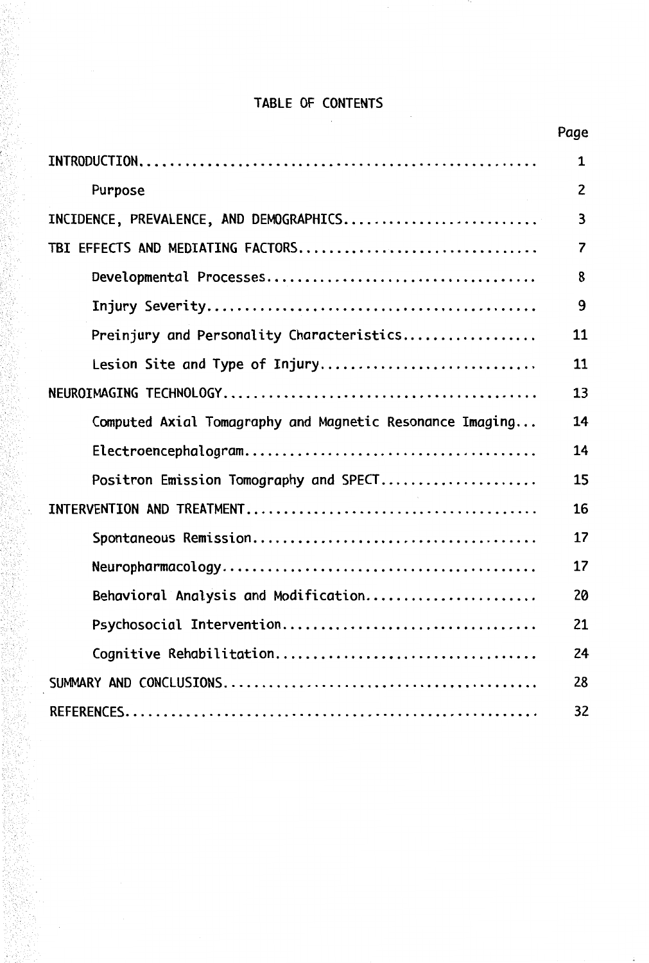# TABLE OF CONTENTS

er<br>Andrews

|                                                          | Page                    |
|----------------------------------------------------------|-------------------------|
|                                                          | 1                       |
| Purpose                                                  | $\overline{c}$          |
| INCIDENCE, PREVALENCE, AND DEMOGRAPHICS                  | 3                       |
| TBI EFFECTS AND MEDIATING FACTORS                        | $\overline{\mathbf{z}}$ |
|                                                          | 8                       |
|                                                          | 9                       |
| Preinjury and Personality Characteristics                | 11                      |
| Lesion Site and Type of Injury                           | 11                      |
|                                                          | 13                      |
| Computed Axial Tomagraphy and Magnetic Resonance Imaging | 14                      |
|                                                          | 14                      |
| Positron Emission Tomography and SPECT                   | 15                      |
|                                                          | 16                      |
|                                                          | 17                      |
|                                                          | 17                      |
| Behavioral Analysis and Modification                     | 20                      |
|                                                          | 21                      |
| Cognitive Rehabilitation                                 | 24                      |
|                                                          | 28                      |
|                                                          | 32                      |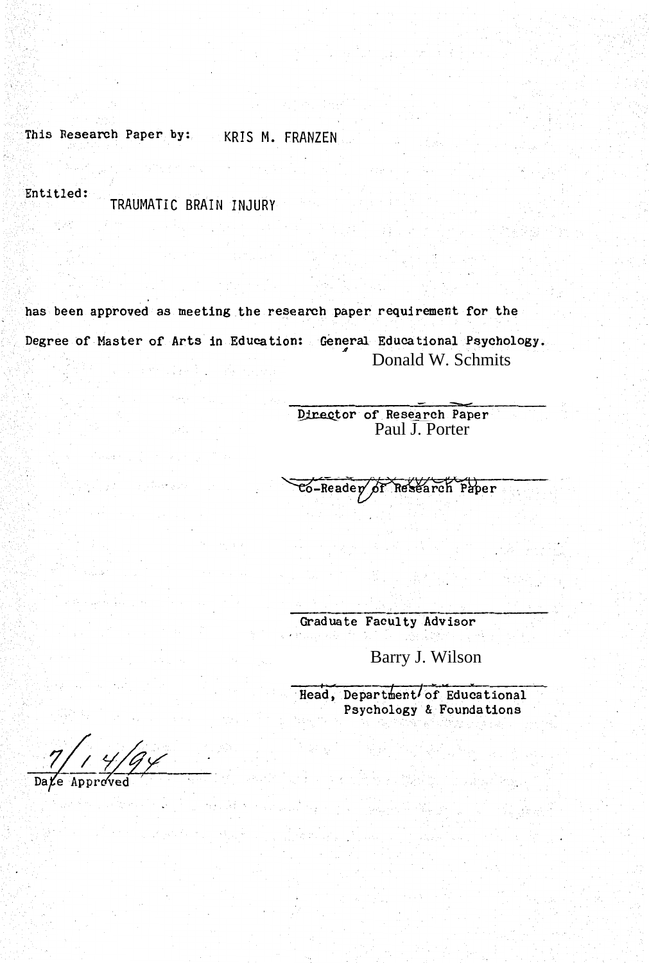This Research Paper by: KRIS M. FRANZEN

Entitled:

TRAUMATIC BRAIN INJURY

has been approved as meeting the research paper requirement for the Degree of Master of Arts in Education: General Educational Psychology. Donald W. Schmits Service Da

Director of Research Paper<br>Paul J. Porter

 $\overline{\text{co-Reader}}$  of Research Paper

Graduate Faculty Advisor

Barry J. Wilson

Head, Department of Educational<br>Psychology & Foundations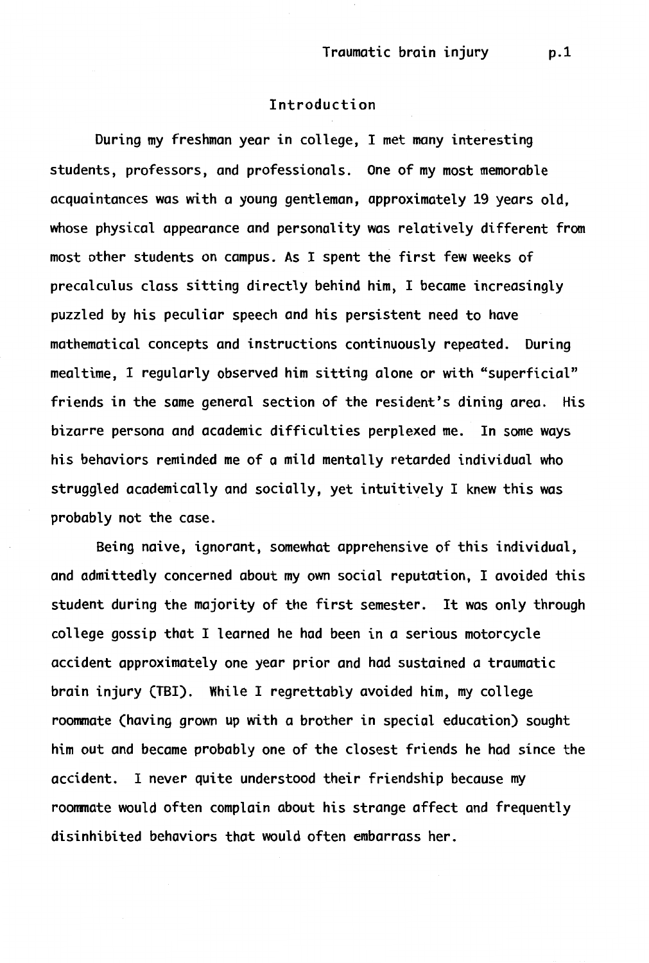# Introduction

During my freshman year in college, I met many interesting students, professors, and professionals. One of my most memorable acquaintances was with a young gentleman, approximately 19 years old, whose physical appearance and personality was relatively different from most other students on campus. As I spent the first few weeks of precalculus class sitting directly behind him, I became increasingly puzzled by his peculiar speech and his persistent need to have mathematical concepts and instructions continuously repeated. During mealtime, I regularly observed him sitting alone or with "superficial" friends in the same general section of the resident's dining area. His bizarre persona and academic difficulties perplexed me. In some ways his behaviors reminded me of a mild mentally retarded individual who struggled academically and socially, yet intuitively I knew this was probably not the case.

Being naive, ignorant, somewhat apprehensive of this individual, and admittedly concerned about my own social reputation, I avoided this student during the majority of the first semester. It was only through college gossip that I learned he had been in a serious motorcycle accident approximately one year prior and had sustained a traumatic brain injury (TBI). While I regrettably avoided him, my college roommate (having grown up with a brother in special education) sought him out and became probably one of the closest friends he had since the accident. I never quite understood their friendship because my roonmate would often complain about his strange affect and frequently disinhibited behaviors that would often embarrass her.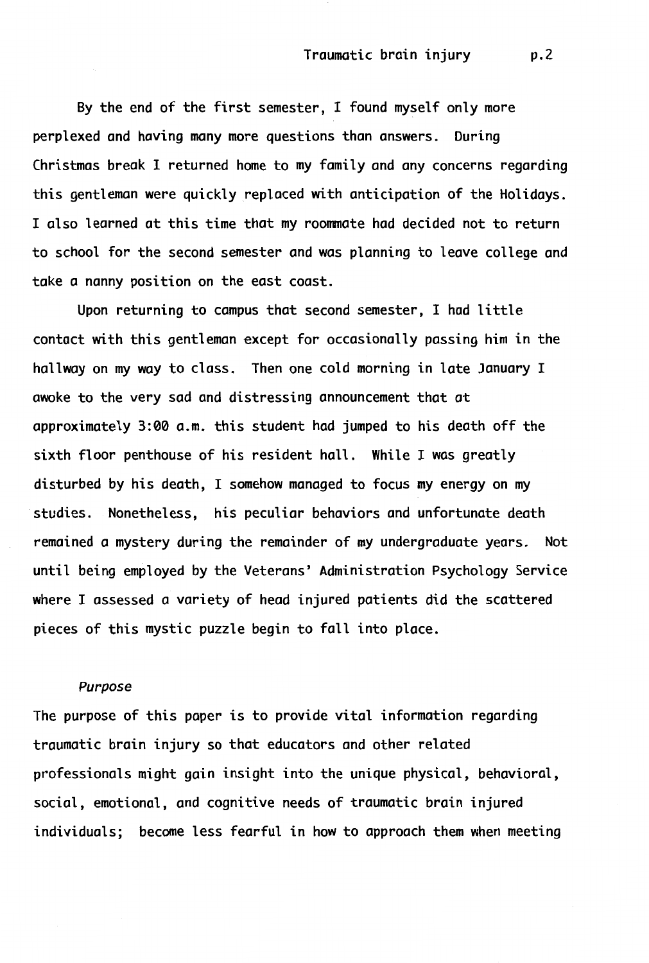By the end of the first semester, I found myself only more perplexed and having many more questions than answers. During Christmas break I returned home to my family and any concerns regarding this gentleman were quickly replaced with anticipation of the Holidays. I also learned at this time that my roommate had decided not to return to school for the second semester and was planning to leave college and take a nanny position on the east coast.

Upon returning to campus that second semester, I had little contact with this gentleman except for occasionally passing him in the hallway on my way to class. Then one cold morning in late January I awoke to the very sad and distressing announcement that at approximately 3:00 a.m. this student had jumped to his death off the sixth floor penthouse of his resident hall. While I was greatly disturbed by his death, I somehow managed to focus my energy on my studies. Nonetheless, his peculiar behaviors and unfortunate death remained a mystery during the remainder of my undergraduate years. Not until being employed by the Veterans' Administration Psychology Service where I assessed a variety of head injured patients did the scattered pieces of this mystic puzzle begin to fall into place.

# *Purpose*

The purpose of this paper is to provide vital information regarding traumatic brain injury so that educators and other related professionals might gain insight into the unique physical, behavioral, social, emotional, and cognitive needs of traumatic brain injured individuals; become less fearful in how to approach them when meeting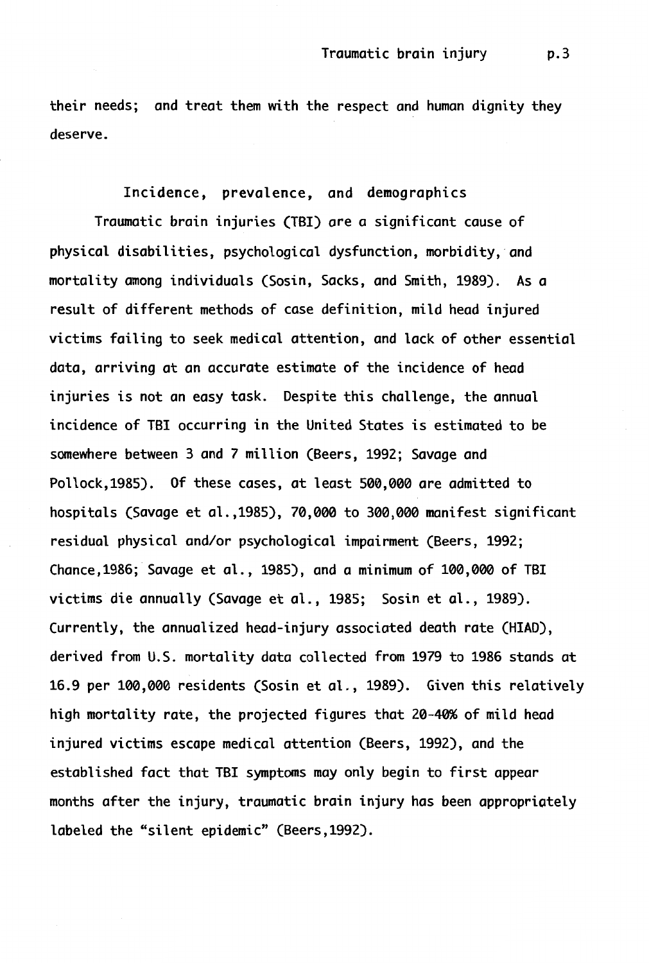their needs; and treat them with the respect and human dignity they deserve.

Incidence, prevalence, and demographics Traumatic brain injuries (TBI) are a significant cause of physical disabilities, psychological dysfunction, morbidity, and mortality among individuals (Sosin, Sacks, and Smith, 1989). As a result of different methods of case definition, mild head injured victims failing to seek medical attention, and lack of other essential data, arriving at an accurate estimate of the incidence of head injuries is not an easy task. Despite this challenge, the annual incidence of TBI occurring in the United States *is* estimated to be somewhere between 3 and 7 million (Beers, 1992; Savage and Pollock,1985). Of these cases, at least 500,000 are admitted to hospitals (Savage et al.,1985), 70,000 to 300,000 manifest significant residual physical and/or psychological impairment (Beers, 1992; Chance,1986; Savage et al., 1985), and a minimum of 100,000 of TBI victims die annually (Savage et al., 1985; Sosin et al., 1989). Currently, the annualized head-injury associated death rate (HIAD), derived from U.S. mortality data collected from 1979 to 1986 stands at 16.9 per 100,000 residents (Sosin et al., 1989). Given this relatively high mortality rate, the projected figures that 20-40% of mild head injured victims escape medical attention (Beers, 1992), and the established fact that TBI symptoms may only begin to first appear months after the injury, traumatic brain injury has been appropriately labeled the "silent epidemic" (Beers,1992).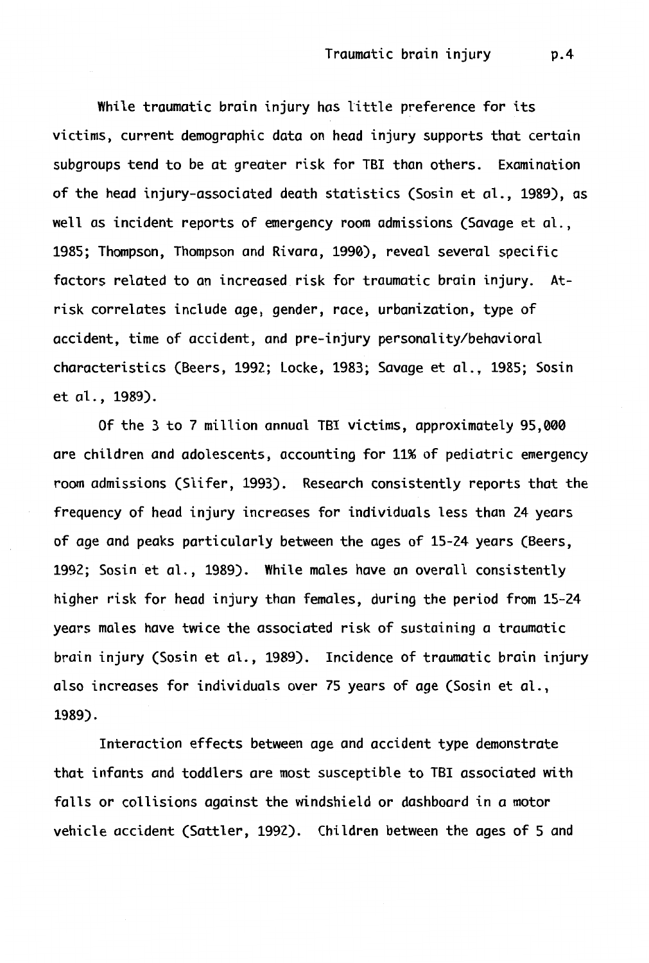While traumatic brain injury has little preference for its victims, current demographic data on head injury supports that certain subgroups tend to be at greater risk for TBI than others. Examination of the head injury-associated death statistics (Sosin et al., 1989), as well as incident reports of emergency room admissions (Savage et al., 1985; Thompson, Thompson and Rivara, 1990), reveal several specific factors related to an increased risk for traumatic brain injury. Atrisk correlates include age, gender, race, urbanization, type of accident, time of accident, and pre-injury personality/behavioral characteristics (Beers, 1992; Locke, 1983; Savage et al., 1985; Sosin et al., 1989).

Of the 3 to 7 million annual TBI victims, approximately 95,000 are children and adolescents, accounting for 11% of pediatric emergency room admissions (Slifer, 1993). Research consistently reports that the frequency of head injury increases for individuals less than 24 years of age and peaks particularly between the ages of 15-24 years (Beers, 1992; Sosin et al., 1989). While males have an overall consistently higher risk for head injury than females, during the period from 15-24 years males have twice the associated risk of sustaining a traumatic brain injury (Sosin et al., 1989). Incidence of traumatic brain injury also increases for individuals over 75 years of age (Sosin et al., 1989).

Interaction effects between age and accident type demonstrate that infants and toddlers are most susceptible to TBI associated with falls or collisions against the windshield or dashboard in a motor vehicle accident (Sattler, 1992). Children between the ages of 5 and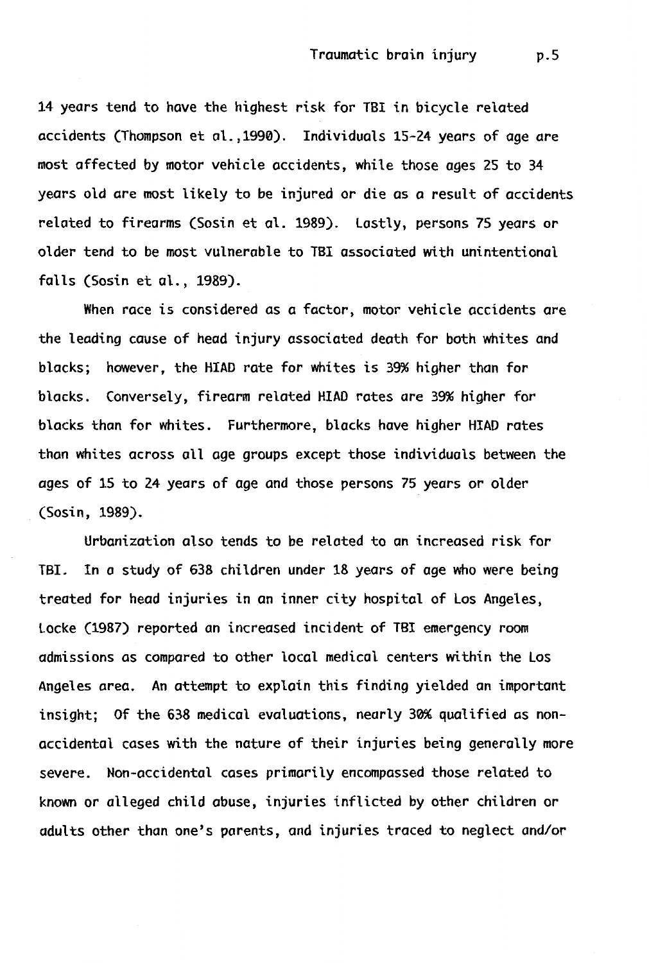14 years tend to have the highest risk for TBI in bicycle related accidents (Thompson et al.,1990). Individuals 15-24 years of age ore most affected by motor vehicle accidents, while those ages 25 to 34 years old are most likely to be injured or die as a result of accidents related to firearms (Sosin et al. 1989). lastly, persons 75 years or older tend to be most vulnerable to TBI associated with unintentional falls (Sosin et al., 1989).

When race is considered as a factor, motor vehicle accidents are the leading cause of head injury associated death for both whites and blacks; however, the HIAD rate for whites is 39% higher than for blacks. Conversely, firearm related HIAD rates are 39% higher for blacks than for whites. Furthermore, blacks have higher HIAD rates than whites across all age groups except those individuals between the ages of 15 to 24 years of age and those persons 75 years or older (Sosin, 1989).

Urbanization also tends to be related to an increased risk for TBI. In a study of 638 children under 18 years of age who were being treated for head injuries in an inner city hospital of Los Angeles, Locke (1987) reported an increased incident of TB! emergency room admissions as compared to other local medical centers within the Los Angeles area. An attempt to explain this finding yielded an important insight; Of the 638 medical evaluations, nearly 30% qualified as nonaccidental cases with the nature of their injuries being generally more severe. Non-accidental cases primarily encompassed those related to known or alleged child abuse, injuries inflicted by other children or adults other than one's parents, and injuries traced to neglect and/or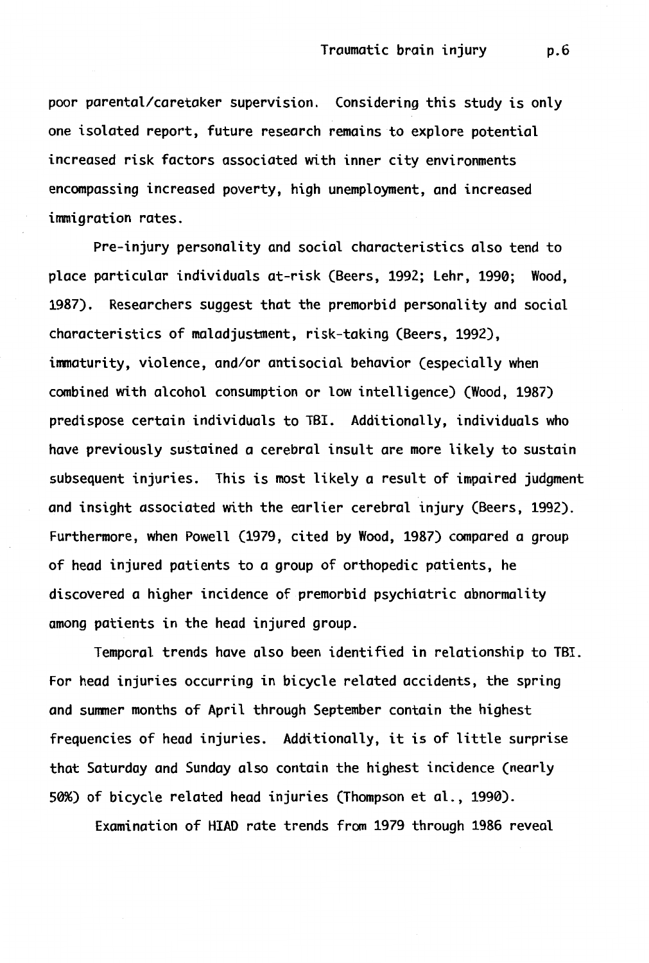poor parental/caretaker supervision. Considering this study is only one isolated report, future research remains to explore potential increased risk factors associated with inner city environments encompassing increased poverty, high unemployment, and increased immigration rates.

Pre-injury personality and social characteristics also tend to place particular individuals at-risk (Beers, 1992; Lehr, 1990; Wood, 1987). Researchers suggest that the premorbid personality and social characteristics of maladjustment, risk-taking (Beers, 1992), immaturity, violence, and/or antisocial behavior (especially when combined with alcohol consumption or low intelligence) (Wood, 1987) predispose certain individuals to TBI. Additionally, individuals who have previously sustained a cerebral insult are more likely to sustain subsequent injuries. This is most likely a result of impaired judgment and insight associated with the earlier cerebral injury (Beers, 1992). Furthermore, when Powell (1979, cited by Wood, 1987) compared a group of head injured patients to a group of orthopedic patients, he discovered a higher incidence of premorbid psychiatric abnormality among patients in the head injured group.

Temporal trends have also been identified in relationship to TBI. For head injuries occurring in bicycle related accidents, the spring and summer months of April through September contain the highest frequencies of head injuries. Additionally, it is of little surprise that Saturday and Sunday also contain the highest incidence (nearly 50%) of bicycle related head injuries (Thompson et al., 1990).

Examination of HIAD rate trends from 1979 through 1986 reveal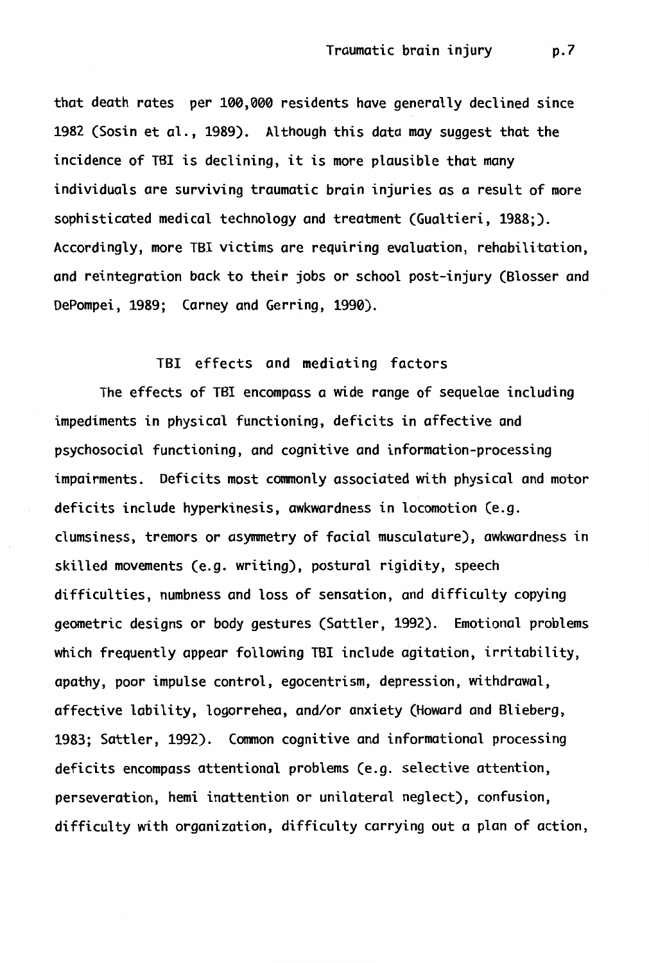that death rates per 100,000 residents have generally declined since 1982 (Sosin et al., 1989). Although this data may suggest that the incidence of TBI is declining, it is more plausible that many individuals are surviving traumatic brain injuries as a result of more sophisticated medical technology and treatment (Gualtieri, 1988;). Accordingly, more TBI victims are requiring evaluation, rehabilitation, and reintegration back to their jobs or school post-injury (Blosser and DePompei, 1989; Carney and Gerring, 1990).

#### TBI effects and mediating factors

The effects of TBI encompass a wide range of sequelae including impediments in physical functioning, deficits in affective and psychosocial functioning, and cognitive and information-processing impairments. Deficits most commonly associated with physical and motor deficits include hyperkinesis, awkwardness in locomotion (e.g. clumsiness, tremors or asymmetry of facial musculature), awkwardness in skilled movements (e.g. writing), postural rigidity, speech difficulties, numbness and loss of sensation, and difficulty copying geometric designs or body gestures (Sattler, 1992). Emotional problems which frequently appear following TBI include agitation, irritability, apathy, poor impulse control, egocentrism, depression, withdrawal, affective lability, logorrehea, and/or anxiety (Howard and Blieberg, 1983; Sattler, 1992). Common cognitive and informational processing deficits encompass attentional problems (e.g. selective attention, perseveration, hemi inattention or unilateral neglect), confusion, difficulty with organization, difficulty carrying out a plan of action,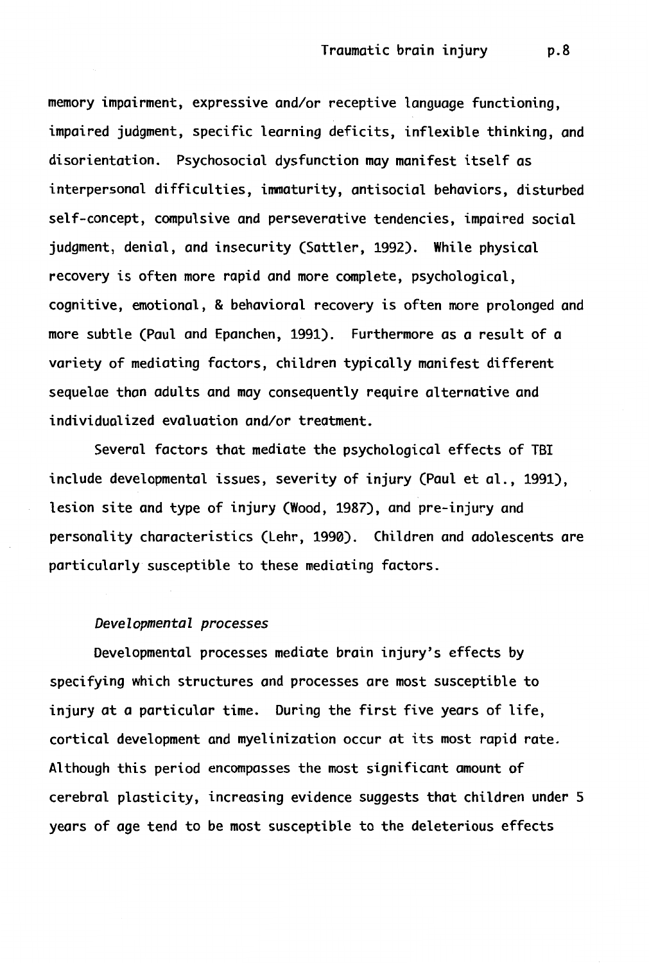memory impairment, expressive and/or receptive language functioning, impaired judgment, specific learning deficits, inflexible thinking, and disorientation. Psychosocial dysfunction may manifest itself as interpersonal difficulties, immaturity, antisocial behaviors, disturbed self-concept, compulsive and perseverative tendencies, impaired social judgment, denial, and insecurity (Sattler, 1992). **While** physical recovery is often more rapid and more complete, psychological, cognitive, emotional, & behavioral recovery is often more prolonged and more subtle (Paul and Epanchen, 1991). Furthermore as a result of a variety of mediating factors, children typically manifest different sequelae than adults and may consequently require alternative and individualized evaluation and/or treatment.

Several factors that mediate the psychological effects of TBI include developmental issues, severity of injury (Paul et al., 1991), lesion site and type of injury (Wood, 1987), and pre-injury and personality characteristics (Lehr, 1990). Children and adolescents are particularly susceptible to these mediating factors.

#### *Developmental processes*

Developmental processes mediate brain injury's effects by specifying which structures and processes are most susceptible to injury at a particular time. During the first five years of life, cortical development and myelinization occur at its most rapid rate. Although this period encompasses the most significant amount of cerebral plasticity, increasing evidence suggests that children under 5 years of age tend to be most susceptible to the deleterious effects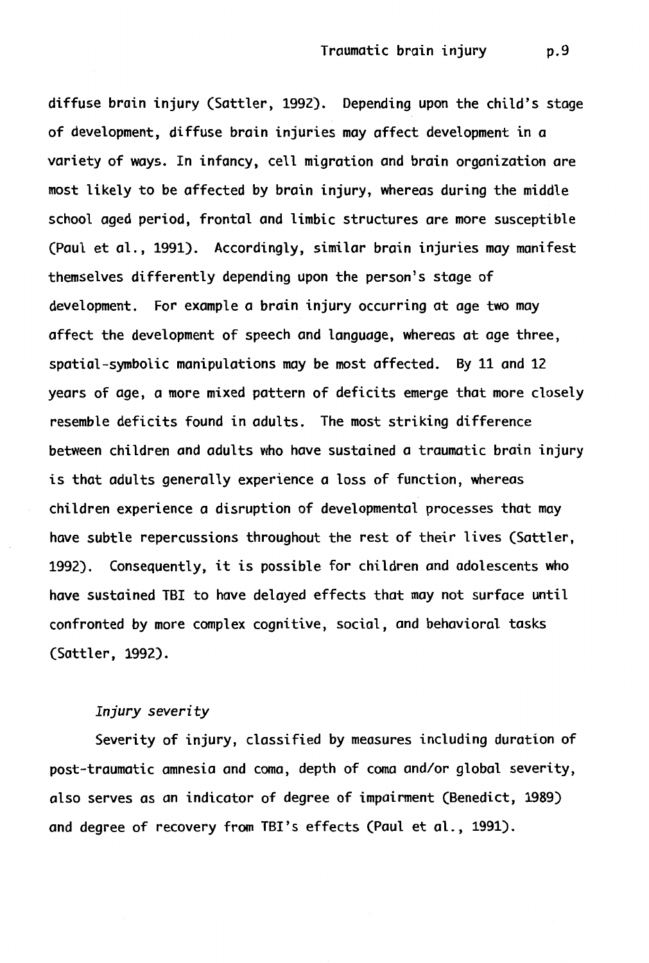diffuse brain injury (Sattler, 1992). Depending upon the child's stage of development, diffuse brain injuries may affect development in a variety of ways. In infancy, cell migration and brain organization are most likely to be affected by brain injury, whereas during the middle school aged period, frontal and limbic structures are more susceptible (Paul et al., 1991). Accordingly, similar brain injuries may manifest themselves differently depending upon the person's stage of development. For example a brain injury occurring at age two may affect the development of speech and language, whereas at age three, spatial-symbolic manipulations may be most affected. By 11 and 12 years of age, a more mixed pattern of deficits emerge that more closely resemble deficits found in adults. The most striking difference between children and adults who have sustained a traumatic brain injury is that adults generally experience a loss of function, whereas children experience a disruption of developmental processes that may have subtle repercussions throughout the rest of their lives (Sattler, 1992). Consequently, it is possible for children and adolescents who have sustained TBI to have delayed effects that may not surface until confronted by more complex cognitive, social, and behavioral tasks (Sattler, 1992).

# *Injury severity*

Severity of injury, classified by measures including duration of post-traumatic amnesia and coma, depth of coma and/or global severity, also serves as an indicator of degree of impairment (Benedict, 1989) and degree of recovery from TBI's effects (Paul et al., 1991).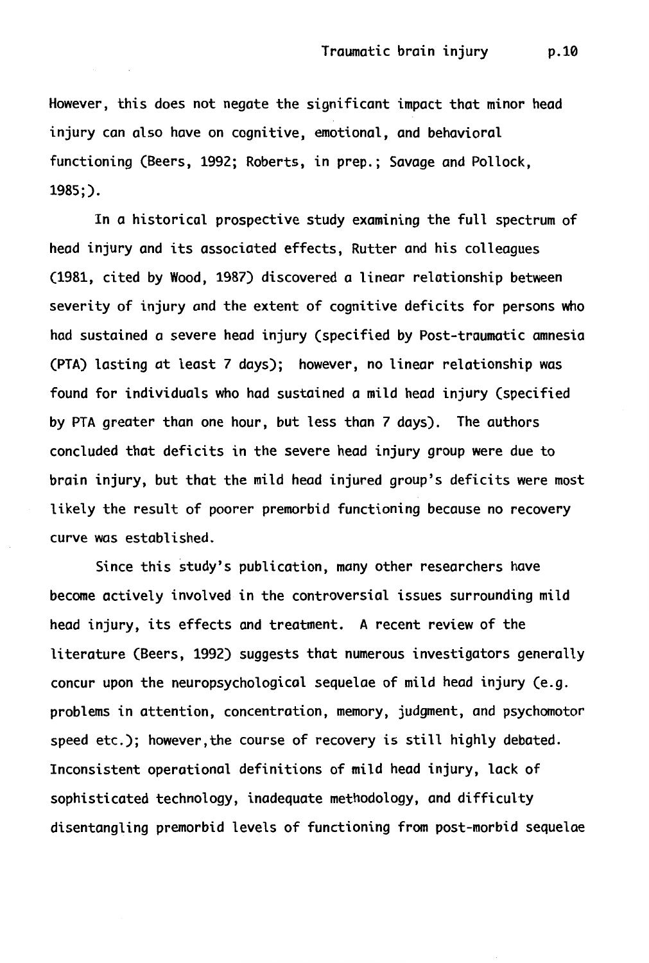However, this does not negate the significant impact that minor head injury can also have on cognitive, emotional, and behavioral functioning (Beers, 1992; Roberts, in prep.; Savage and Pollock, 1985;).

In a historical prospective study examining the full spectrum of head injury and its associated effects, Rutter and his colleagues (1981, cited by Wood, 1987) discovered a linear relationship between severity of injury and the extent of cognitive deficits for persons who had sustained a severe head injury (specified by Post-traumatic amnesia (PTA) lasting at least 7 days); however, no linear relationship was found for individuals who had sustained a mild head injury (specified by PTA greater than one hour, but less than 7 days). The authors concluded that deficits in the severe head injury group were due to brain injury, but that the mild head injured group's deficits were most likely the result of poorer premorbid functioning because no recovery curve was established.

Since this study's publication, many other researchers have become actively involved in the controversial issues surrounding mild head injury, its effects and treatment. A recent review of the literature (Beers, 1992) suggests that numerous investigators generally concur upon the neuropsychological sequelae of mild head injury (e.g. problems in attention, concentration, memory, judgment, and psychomotor speed etc.); however, the course of recovery is still highly debated. Inconsistent operational definitions of mild head injury, lack of sophisticated technology, inadequate methodology, and difficulty disentangling premorbid levels of functioning from post-morbid sequelae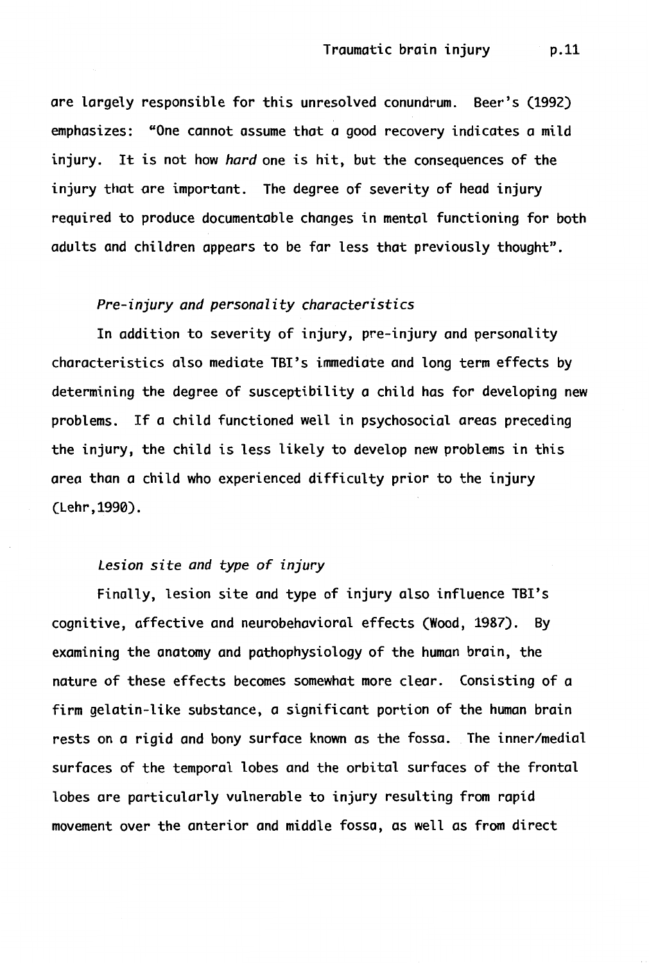are largely responsible for this unresolved conundrum. Beer's (1992) emphasizes: "One cannot assume that a good recovery indicates a mild injury. It is not how *hard* one is hit, but the consequences of the injury that ore important. The degree of severity of head injury required to produce documentable changes in mental functioning for both adults and children appears to be far less that previously thought".

#### *Pre-injury and personality characteristics*

In addition to severity of injury, pre-injury and personality characteristics also mediate TBI's immediate and long term effects by determining the degree of susceptibility a child has for developing new problems. If a child functioned well in psychosocial areas preceding the injury, the child is less likely to develop new problems in this area than a child who experienced difficulty prior to the injury (Lehr,1990).

#### *Lesion site and type of injury*

Finally, lesion site and type of injury also influence TBI's cognitive, affective and neurobehavioral effects (Wood, 1987). By examining the anatomy and pathophysiology of the human brain, the nature of these effects becomes somewhat more clear. Consisting of a firm gelatin-like substance, a significant portion of the human brain rests on a rigid and bony surface known as the fossa. The inner/medial surfaces of the temporal lobes and the orbital surfaces of the frontal lobes are particularly vulnerable to injury resulting from rapid movement over the anterior and middle fossa, as well as from direct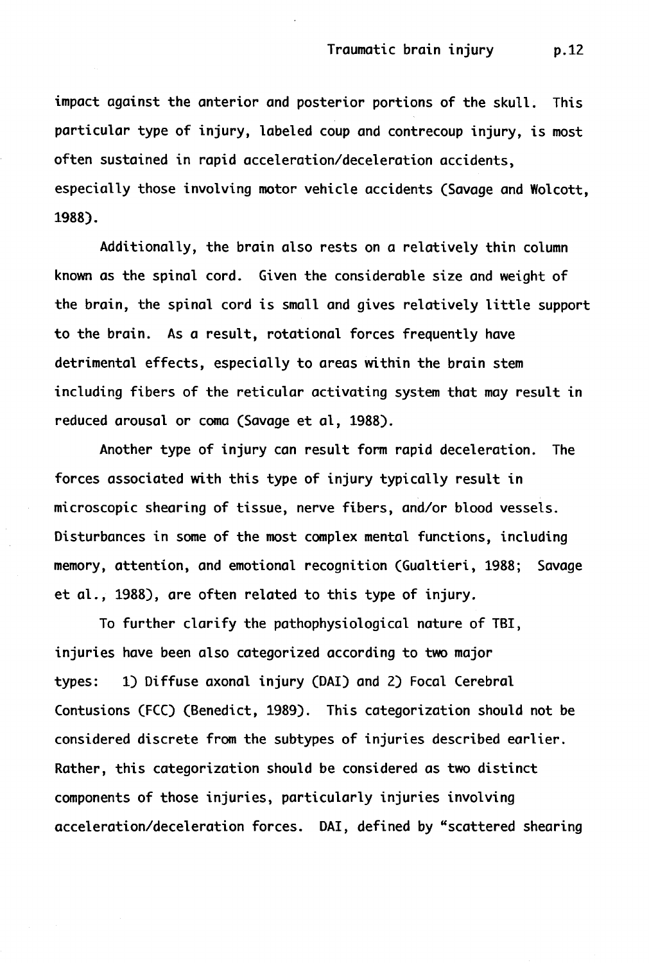impact against the anterior and posterior portions of the skull. This particular type of injury, labeled coup and contrecoup injury, is most often sustained in rapid acceleration/deceleration accidents, especially those involving motor vehicle accidents (Savage and Wolcott, **1988).** 

Additionally, the brain also rests on a relatively thin column known as the spinal cord. Given the considerable size and weight of the brain, the spinal cord is small and gives relatively little support to the brain. As a result, rotational forces frequently have detrimental effects, especially to areas within the brain stem including fibers of the reticular activating system that may result in reduced arousal or coma (Savage et al, 1988).

Another type of injury can result form rapid deceleration. The forces associated with this type of injury typically result in microscopic shearing of tissue, nerve fibers, and/or blood vessels. Disturbances in some of the most complex mental functions, including memory, attention, and emotional recognition (Gualtieri, 1988; Savage et al., 1988), are often related to this type of injury.

To further clarify the pathophysiological nature of TBI, injuries have been also categorized according to two major types: 1) Diffuse axonal injury (DAI) and 2) Focal Cerebral Contusions (FCC) (Benedict, 1989). This categorization should not be considered discrete from the subtypes of injuries described earlier. Rather, this categorization should be considered as two distinct components of those injuries, particularly injuries involving acceleration/deceleration forces. DAI, defined by "scattered shearing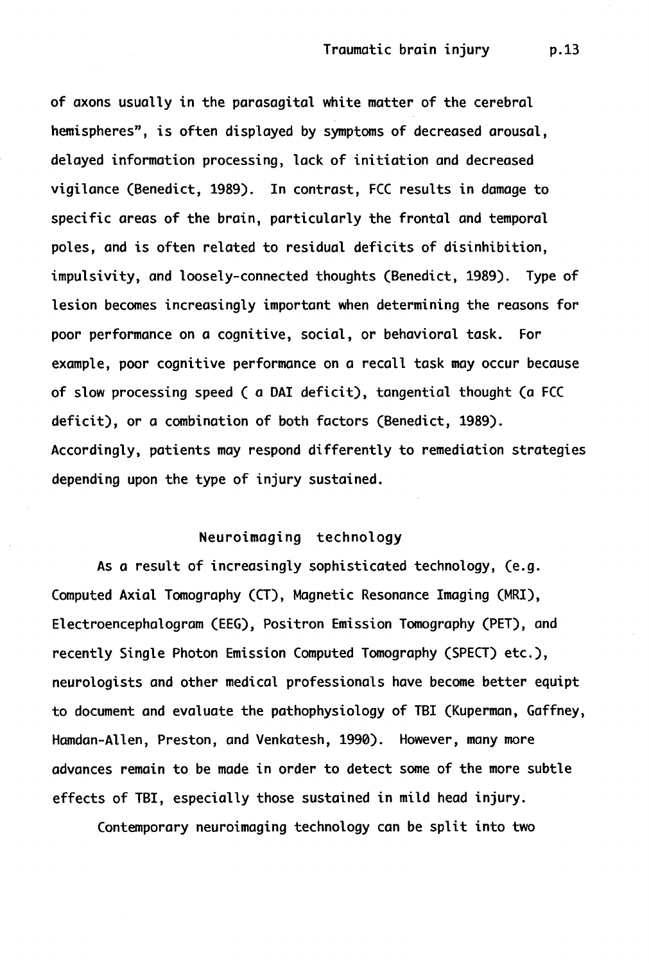of axons usually in the parasagital white matter of the cerebral hemispheres", is often displayed by symptoms of decreased arousal, delayed information processing, lack of initiation and decreased vigilance (Benedict, 1989). In contrast, FCC results in damage to specific areas of the brain, particularly the frontal and temporal poles, and is often related to residual deficits of disinhibition, impulsivity, and loosely-connected thoughts (Benedict, 1989). Type of lesion becomes increasingly important when determining the reasons for poor performance on a cognitive, social, or behavioral task. For example, poor cognitive performance on a recall task may occur because of slow processing speed ( a DAI deficit), tangential thought (a FCC deficit), or a combination of both factors (Benedict, 1989). Accordingly, patients may respond differently to remediation strategies depending upon the type of injury sustained.

#### Neuroimaging technology

As a result of increasingly sophisticated technology, (e.g. Computed Axial Tomography (CT), Magnetic Resonance Imaging (MRI), Electroencephalogram (EEG), Positron Emission Tomography (PET), and recently Single Photon Emission Computed Tomography (SPECT) etc.), neurologists and other medical professionals have become better equipt to document and evaluate the pathophysiology of TBI (Kuperman, Gaffney, Hamdan-Allen, Preston, and Venkatesh, 1990). However, many more advances remain to be made in order to detect some of the more subtle effects of TBI, especially those sustained in mild head injury.

Contemporary neuroimaging technology can be split into two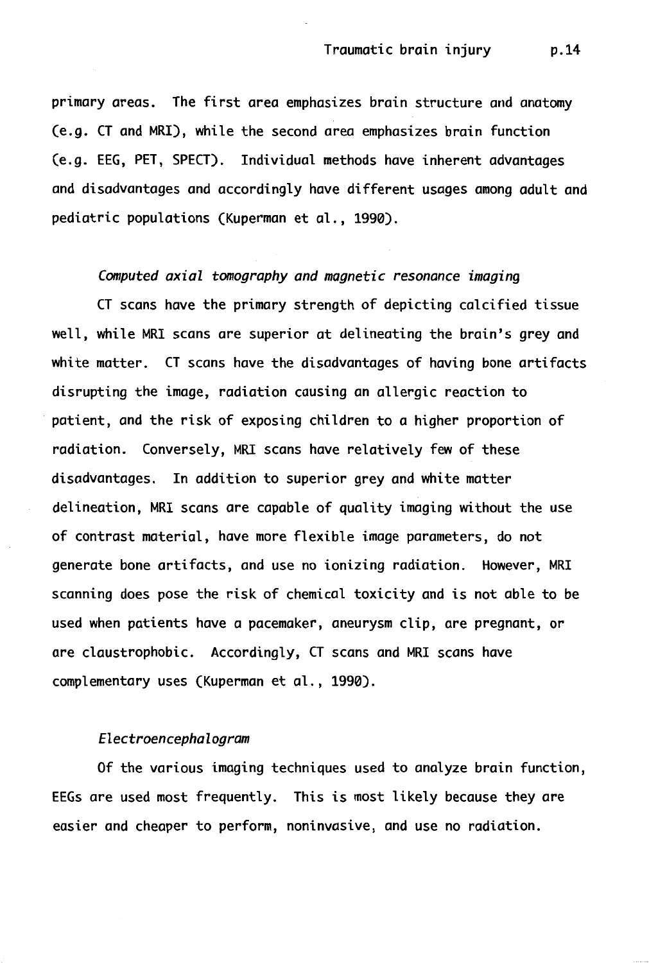primary areas. The first area emphasizes brain structure and anatomy (e.g. CT and MRI), while the second area emphasizes brain function (e.g. EEG, PET, SPECT). Individual methods have inherent advantages and disadvantages and accordingly have different usages among adult and pediatric populations (Kuperman et al., 1990).

#### *Computed axial tomography and magnetic resonance imaging*

CT scans have the primary strength of depicting calcified tissue well, while MRI scans are superior at delineating the brain's grey and white matter. CT scans have the disadvantages of having bone artifacts disrupting the image, radiation causing an allergic reaction to patient, and the risk of exposing children to a higher proportion of radiation. Conversely, MRI scans have relatively few of these disadvantages. In addition to superior grey and white matter delineation, MRI scans are capable of quality imaging without the use of contrast material, have more flexible image parameters, do not generate bone artifacts, and use no ionizing radiation. However, MRI scanning does pose the risk of chemical toxicity and is not able to be used when patients have a pacemaker, aneurysm clip, are pregnant, or are claustrophobic. Accordingly, CT scans and MRI scans have complementary uses (Kuperman et al., 1990).

# *Electroencephalogram*

Of the various imaging techniques used to analyze brain function, EEGs are used most frequently. This is most likely because they are easier and cheaper to perform, noninvasive, and use no radiation.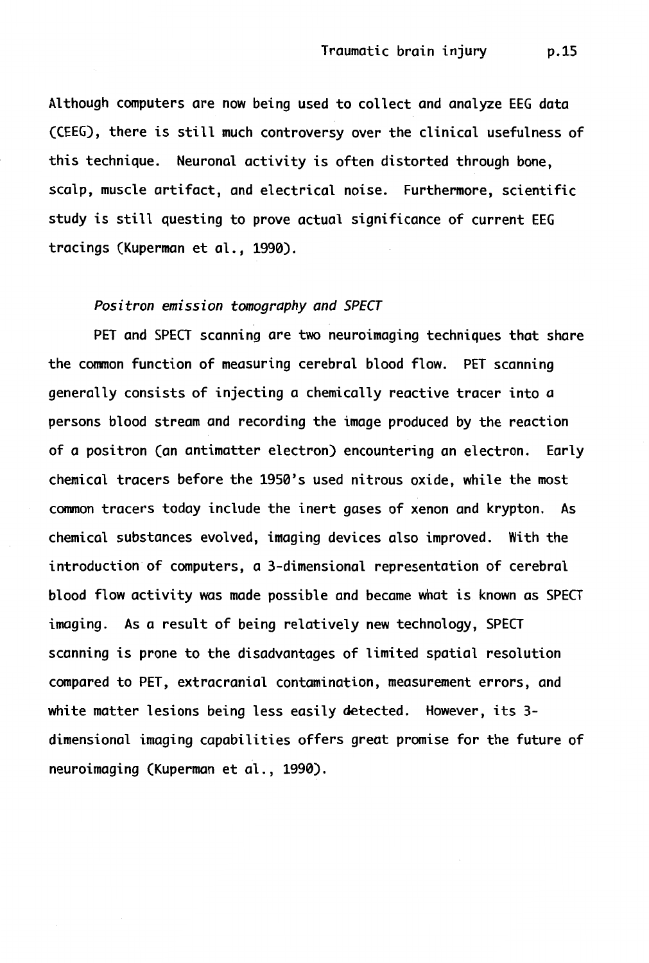Although computers are now being used to collect and analyze EEG data (CEEG), there is still much controversy over the clinical usefulness of this technique. Neuronal activity is often distorted through bone, scalp, muscle artifact, and electrical noise. Furthermore, scientific study is still questing to prove actual significance of current EEG tracings (Kuperman et al., 1990).

#### *Positron emission tomography and SPECT*

PET and SPECT scanning are two neuroimaging techniques that share the common function of measuring cerebral blood flow. PET scanning generally consists of injecting a chemically reactive tracer into a persons blood stream and recording the image produced by the reaction of a positron (an antimatter electron) encountering an electron. Early chemical tracers before the 1950's used nitrous oxide, while the most common tracers today include the inert gases of xenon and krypton. As chemical substances evolved, imaging devices also improved. With the introduction of computers, a 3-dimensional representation of cerebral blood flow activity was made possible and became what is known as SPECT imaging. As a result of being relatively new technology, SPECT scanning is prone to the disadvantages of limited spatial resolution compared to PET, extracranial contamination, measurement errors, and white matter lesions being less easily detected. However, its 3 dimensional imaging capabilities offers great promise for the future of neuroimaging (Kuperman et al., 1990).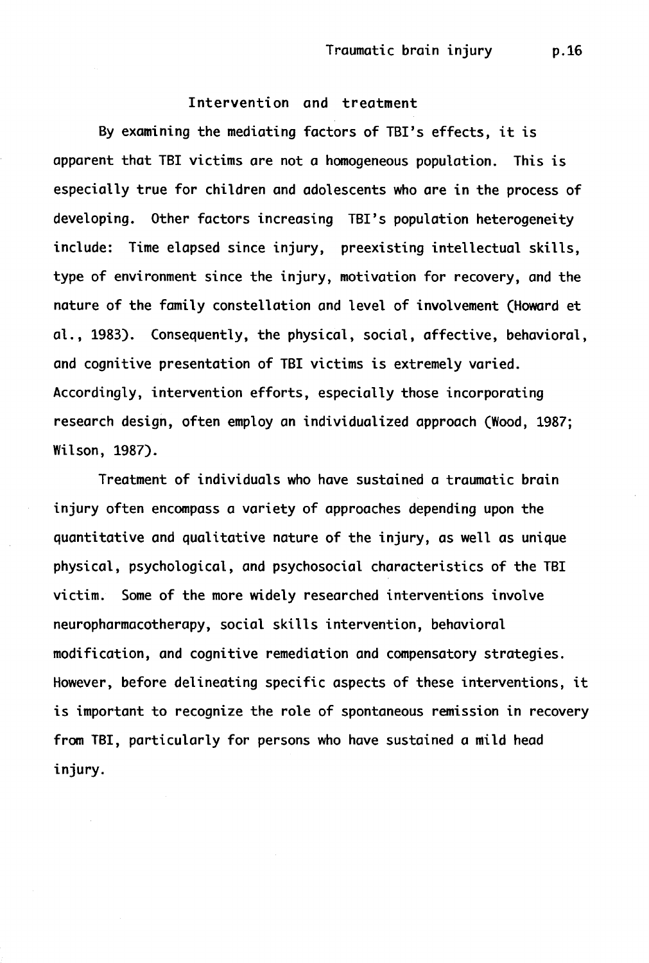# Intervention and treatment

By examining the mediating factors of TBI's effects, it is apparent that TBI victims are not a homogeneous population. This is especially true for children and adolescents who are in the process of developing. Other factors increasing TBI's population heterogeneity include: Time elapsed since injury, preexisting intellectual skills, type of environment since the injury, motivation for recovery, and the nature of the family constellation and level of involvement (Howard et al., 1983). Consequently, the physical, social, affective, behavioral, and cognitive presentation of TBI victims is extremely varied. Accordingly, intervention efforts, especially those incorporating research design, often employ an individualized approach (Wood, 1987; Wilson, 1987).

Treatment of individuals who have sustained a traumatic brain injury often encompass a variety of approaches depending upon the quantitative and qualitative nature of the injury, as well as unique physical, psychological, and psychosocial characteristics of the TBI victim. Some of the more widely researched interventions involve neuropharmacotherapy, social skills intervention, behavioral modification, and cognitive remediation and compensatory strategies. However, before delineating specific aspects of these interventions, it is important to recognize the role of spontaneous remission in recovery from TBI, particularly for persons who have sustained a mild head injury.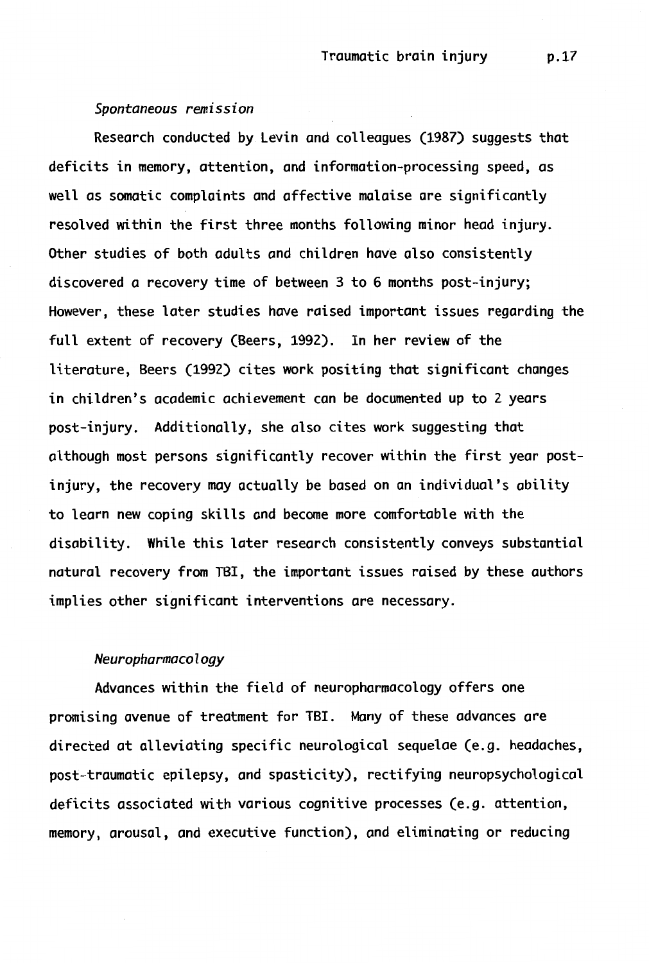#### *Spontaneous remission*

Research conducted by Levin and colleagues (1987) suggests that deficits in memory, attention, and information-processing speed, as well as somatic complaints and affective malaise are significantly resolved within the first three months following minor head injury. Other studies of both adults and children have also consistently discovered a recovery time of between 3 to 6 months post-injury; However, these later studies have raised important issues regarding the full extent of recovery (Beers, 1992). In her review of the literature, Beers (1992) cites work positing that significant changes in children's academic achievement can be documented up to 2 years post-injury. Additionally, she also cites work suggesting that although most persons significantly recover within the first year postinjury, the recovery may actually be based on *an* individual's ability to learn new coping skills and become more comfortable with the disability. While this later research consistently conveys substantial natural recovery from TBI, the important issues raised by these authors implies other significant interventions are necessary.

# *Neuropharmacology*

Advances within the field of neuropharmacology offers one promising avenue of treatment for TBI. Many of these advances are directed at alleviating specific neurological sequelae (e.g. headaches, post-traumatic epilepsy, and spasticity), rectifying neuropsychological deficits associated with various cognitive processes (e.g. attention, memory, arousal, and executive function), and eliminating or reducing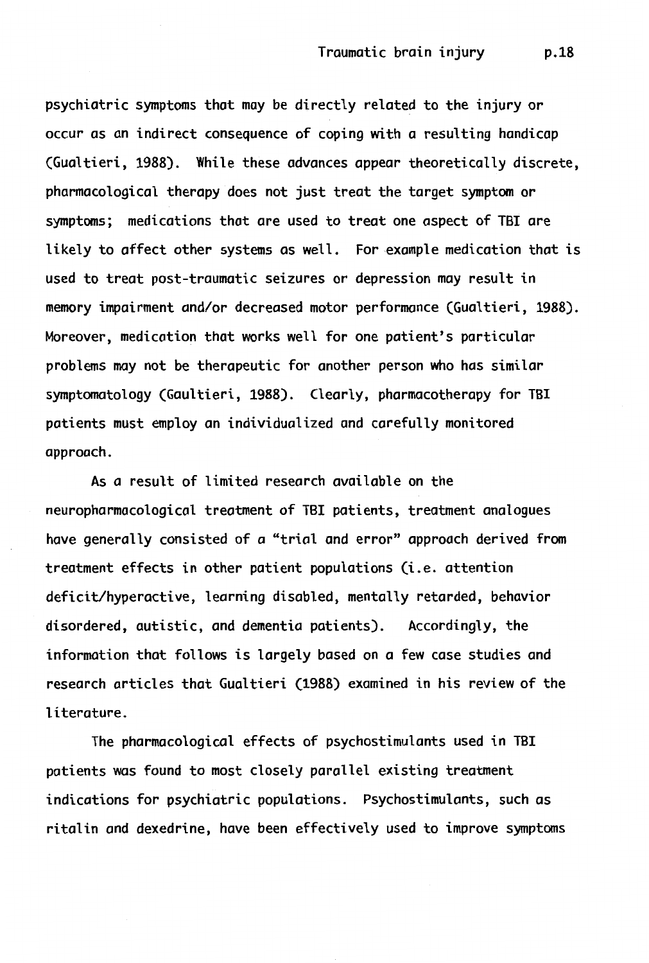psychiatric symptoms that may be directly related to the injury or occur as an indirect consequence of coping with a resulting handicap (Gualtieri, 1988). While these advances appear theoretically discrete, pharmacological therapy does not just treat the target symptom or symptoms; medications that are used to treat one aspect of TBI are likely to affect other systems as well. For example medication that is used to treat post-traumatic seizures or depression may result in memory impairment and/or decreased motor performance (Gualtieri, 1988). Moreover, medication that works well for one patient's particular problems may not be therapeutic for another person who has similar symptomatology (Gaultieri, 1988). Clearly, pharmacotherapy for TBI patients must employ an individualized and carefully monitored approach.

As a result of limited research available on the neuropharmacological treatment of TBI patients, treatment analogues have generally consisted of a "trial and error" approach derived from treatment effects in other patient populations (i.e. attention deficit/hyperactive, learning disabled, mentally retarded, behavior disordered, autistic, and dementia patients). Accordingly, the information that follows is largely based on a few case studies and research articles that Gualtieri (1988) examined in his review of the literature.

The pharmacological effects of psychostimulants used in TBI patients was found to most closely parallel existing treatment indications for psychiatric populations. Psychostimulants, such as ritalin and dexedrine, have been effectively used to improve symptoms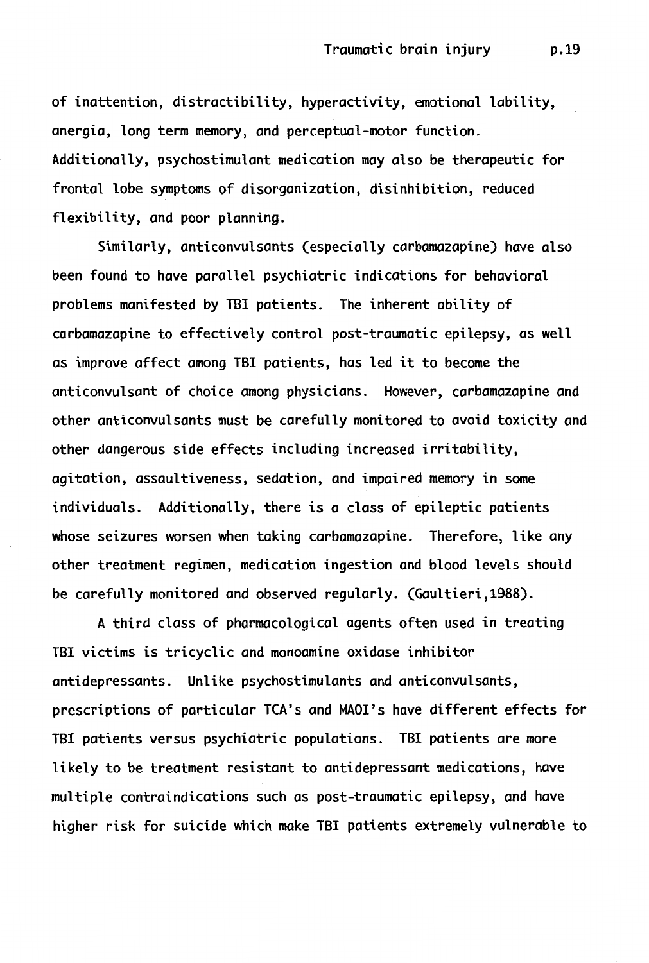of inattention, distractibility, hyperactivity, emotional lability, anergia, long term memory, and perceptual-motor function. Additionally, psychostimulant medication may also be therapeutic for frontal lobe symptoms of disorganization, disinhibition, reduced flexibility, and poor planning.

Similarly, anticonvulsants (especially carbamazapine) have also been found to have parallel psychiatric indications for behavioral problems manifested by TBI patients. The inherent ability of carbamazapine to effectively control post-traumatic epilepsy, as well as improve affect among TBI patients, has led it to become the anticonvulsant of choice among physicians. However, carbamazapine and other anticonvulsants must be carefully monitored to avoid toxicity and other dangerous side effects including increased irritability, agitation, assaultiveness, sedation, and impaired memory in some individuals. Additionally, there is a class of epileptic patients whose seizures worsen when taking carbamazapine. Therefore, like any other treatment regimen, medication ingestion and blood levels should be carefully monitored and observed regularly. (Gaultieri,1988).

A third class of pharmacological agents often used in treating TBI victims is tricyclic and monoamine oxidase inhibitor antidepressants. Unlike psychostimulants and anticonvulsants, prescriptions of particular TCA's and MAOI's have different effects for TBI patients versus psychiatric populations. TBI patients are more likely to be treatment resistant to antidepressant medications, have multiple contraindications such as post-traumatic epilepsy, and have higher risk for suicide which make TBI patients extremely vulnerable to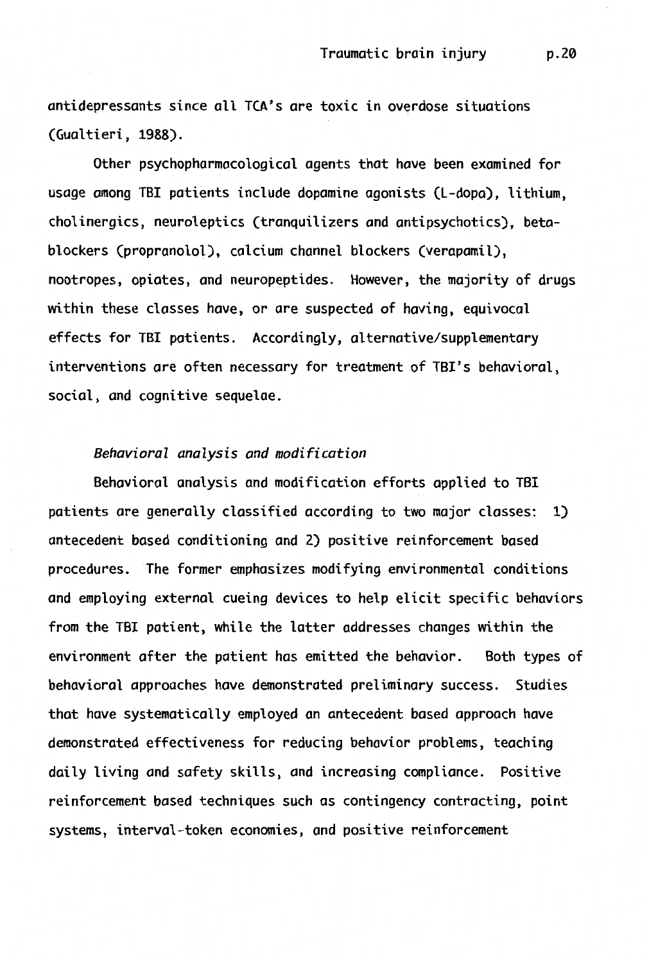antidepressants since all TCA's *are* toxic in overdose situations (Gualtieri, 1988).

Other psychophormocologicol agents that hove been examined for *usage among* TBI patients include dopamine ogonists CL-dopa), lithium, cholinergics, neuroleptics (tranquilizers *and* ontipsychotics), betablockers (propranolol), calcium channel blockers (verapamil), nootropes, opiates, *and* neuropeptides. However, the majority of drugs within these classes hove, or *are* suspected of having, equivocal effects for TBI patients. Accordingly, alternative/supplementary interventions *are* often *necessary* for treatment of TBI's behavioral, social, and cognitive sequelae.

# *Behavioral analysis and modification*

Behavioral analysis *and* modification efforts applied to TBI patients *are* generally classified according to two *major* classes: 1) antecedent based conditioning *and* 2) positive reinforcement based procedures. The former emphasizes modifying environmental conditions *and* employing external cueing devices to help elicit specific behaviors from the TBI patient, while the latter addresses changes within the environment ofter the patient hos emitted the behavior. Both types of behavioral approaches hove demonstrated preliminary success. Studies that hove systematically employed *an* antecedent based approach hove demonstrated effectiveness for reducing behavior problems, teaching doily living *and* safety skills, *and* increasing compliance. Positive reinforcement based techniques such as contingency contracting, point systems, interval-token economies, and positive reinforcement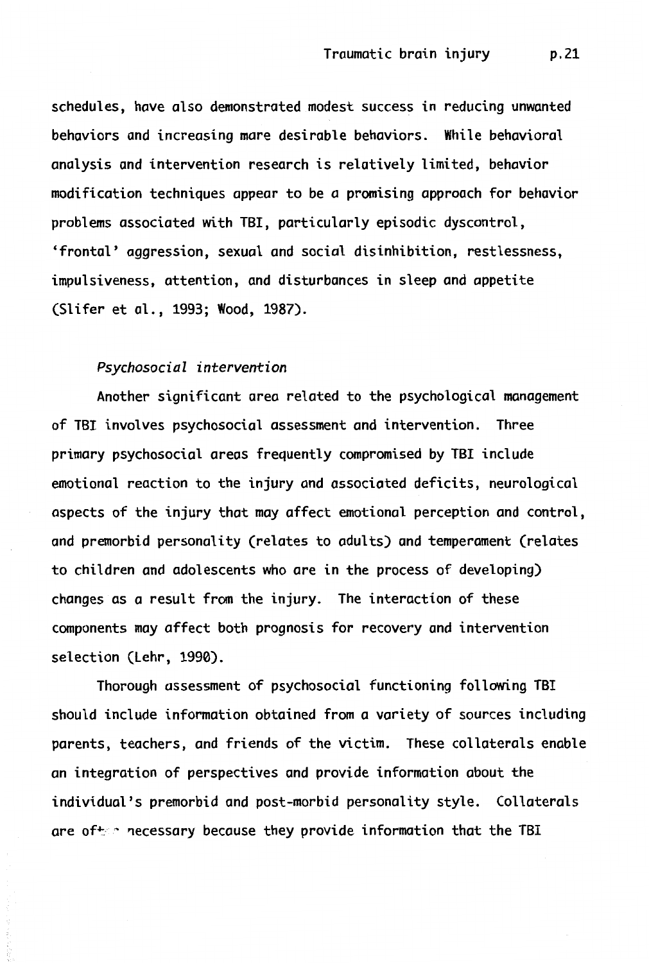schedules, have also demonstrated modest success in reducing unwanted behaviors and increasing mare desirable behaviors. While behavioral analysis and intervention research is relatively limited, behavior modification techniques appear to be a promising approach for behavior problems associated with TB!, particularly episodic dyscontrol, 'frontal' aggression, sexual and social disinhibition, restlessness, impulsiveness, attention, and disturbances in sleep and appetite (Slifer et al., 1993; Wood, 1987).

# *Psychosocial intervention*

Another significant area related to the psychological management of TBI involves psychosocial assessment and intervention. Three primary psychosocial areas frequently compromised by TB! include emotional reaction to the injury and associated deficits, neurological aspects of the injury that may affect emotional perception and control, and premorbid personality (relates to adults) and temperament (relates to children and adolescents who are in the process of developing) changes as a result from the injury. The interaction of these components may affect both prognosis for recovery and intervention selection (Lehr, 1990).

Thorough assessment of psychosocial functioning following TB! should include information obtained from a variety of sources including parents, teachers, and friends of the victim. These collaterals enable an integration of perspectives and provide information about the individual's premorbid and post-morbid personality style. Collaterals are of  $\sim$  necessary because they provide information that the TBI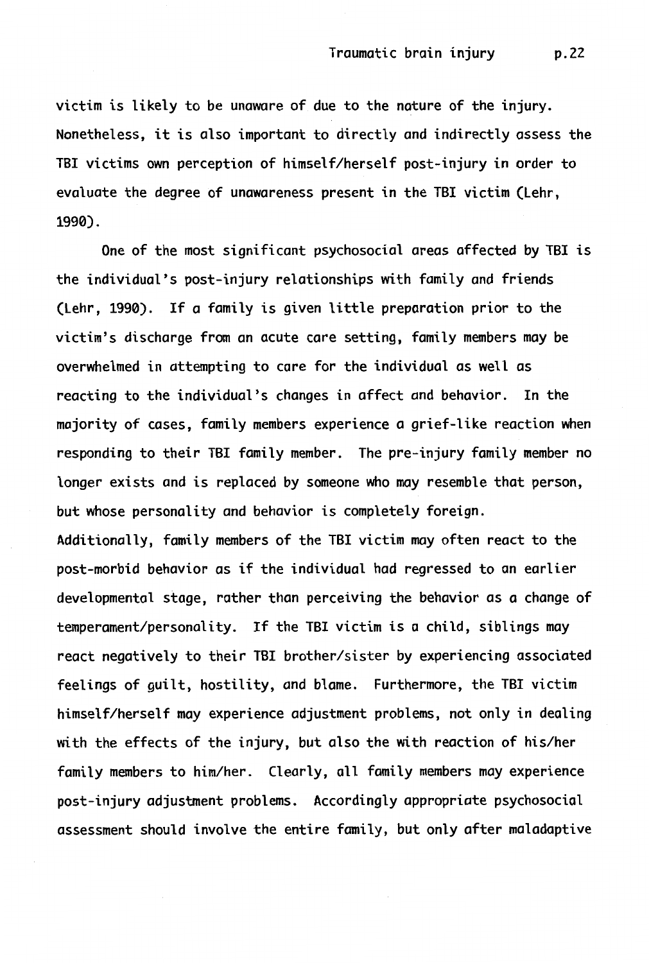victim is likely to be unaware of due to the nature of the injury. Nonetheless, it is also important to directly and indirectly assess the TBI victims own perception of himself/herself post-injury in order to evaluate the degree of unawareness present in the TBI victim (Lehr, 1990).

One of the most significant psychosocial areas affected by TBI is the individual's post-injury relationships with family and friends (Lehr, 1990). If a family is given little preparation prior to the victim's discharge from an acute care setting, family members may be overwhelmed in attempting to care for the individual as well as reacting to the individual's changes in affect and behavior. In the majority of cases, family members experience a grief-like reaction when responding to their TBI family member. The pre-injury family member no longer exists and is replaced by someone who may resemble that person, but whose personality and behavior is completely foreign. Additionally, family members of the TBI victim may often react to the post-morbid behavior as if the individual had regressed to an earlier developmental stage, rather than perceiving the behavior as a change of temperament/personality. If the TBI victim is a child, siblings may react negatively to their TBI brother/sister by experiencing associated feelings of guilt, hostility, and blame. Furthermore, the TBI victim himself/herself may experience adjustment problems, not only in dealing with the effects of the injury, but also the with reaction of his/her family members to him/her. Clearly, all family members may experience post-injury adjustment problems. Accordingly appropriate psychosocial assessment should involve the entire family, but only after maladaptive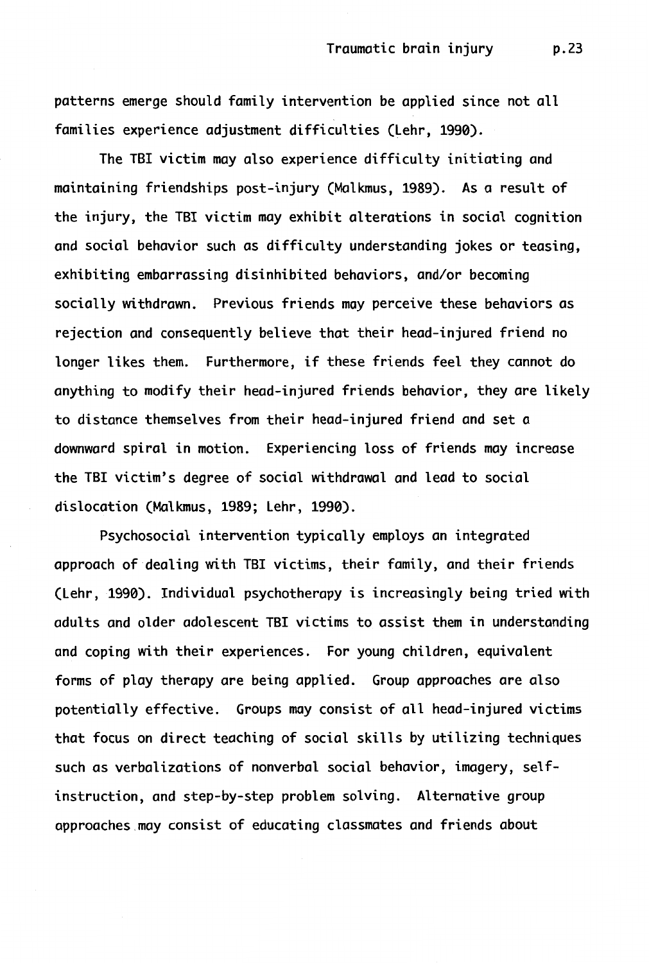patterns emerge should family intervention be applied since not all families experience adjustment difficulties (Lehr, 1990).

The TBI victim may also experience difficulty initiating and maintaining friendships post-injury (Malkmus, 1989). As a result of the injury, the TBI victim may exhibit alterations in social cognition and social behavior such as difficulty understanding jokes or teasing, exhibiting embarrassing disinhibited behaviors, and/or becoming socially withdrawn. Previous friends may perceive these behaviors as rejection and consequently believe that their head-injured friend no longer likes them. Furthermore, if these friends feel they cannot do anything to modify their head-injured friends behavior, they are likely to distance themselves from their head-injured friend and set a downward spiral in motion. Experiencing loss of friends may increase the TBI victim's degree of social withdrawal and lead to social dislocation (Malkmus, 1989; Lehr, 1990).

Psychosocial intervention typically employs an integrated approach of dealing with TBI victims, their family, and their friends (Lehr, 1990). Individual psychotherapy is increasingly being tried with adults and older adolescent TBI victims to assist them in understanding and coping with their experiences. For young children, equivalent forms of play therapy are being applied. Group approaches are also potentially effective. Groups may consist of all head-injured victims that focus on direct teaching of social skills by utilizing techniques such as verbalizations of nonverbal social behavior, imagery, selfinstruction, and step-by-step problem solving. Alternative group approaches may consist of educating classmates and friends about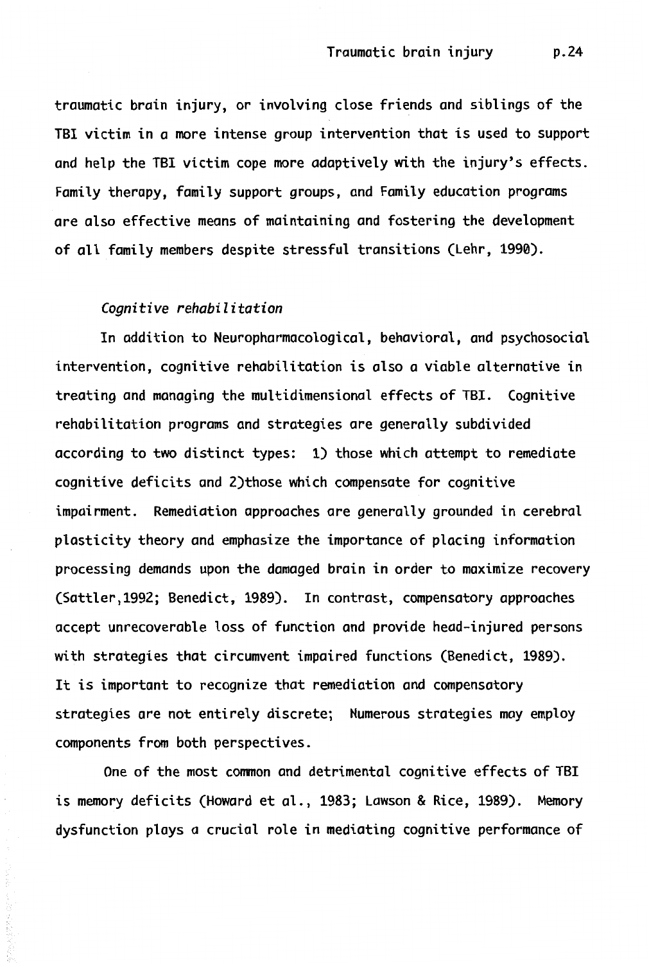traumatic brain injury, or involving close friends and siblings of the TBI victim in a more intense group intervention that is used to support and help the TBI victim cope more adaptively with the injury's effects. Family therapy, family support groups, and Family education programs are also effective means of maintaining and fostering the development of all family members despite stressful transitions (Lehr, 1990).

#### *Cognitive rehabilitation*

In addition to Neuropharmacological, behavioral, and psychosocial intervention, cognitive rehabilitation is also a viable alternative in treating and managing the multidimensional effects of TBI. Cognitive rehabilitation programs and strategies are generally subdivided according to two distinct types: 1) those which attempt to remediate cognitive deficits and 2)those which compensate for cognitive impairment. Remediation approaches are generally grounded in cerebral plasticity theory and emphasize the importance of placing information processing demands upon the damaged brain in order to maximize recovery (Sattler,1992; Benedict, 1989). In contrast, compensatory approaches accept unrecoverable loss of function and provide head-injured persons with strategies that circumvent impaired functions (Benedict, 1989). It is important to recognize that remediation and compensatory strategies are not entirely discrete; Numerous strategies may employ components from both perspectives.

One of the most common and detrimental cognitive effects of TBI is memory deficits (Howard et al., 1983; Lawson & Rice, 1989). Memory dysfunction plays a crucial role in mediating cognitive performance of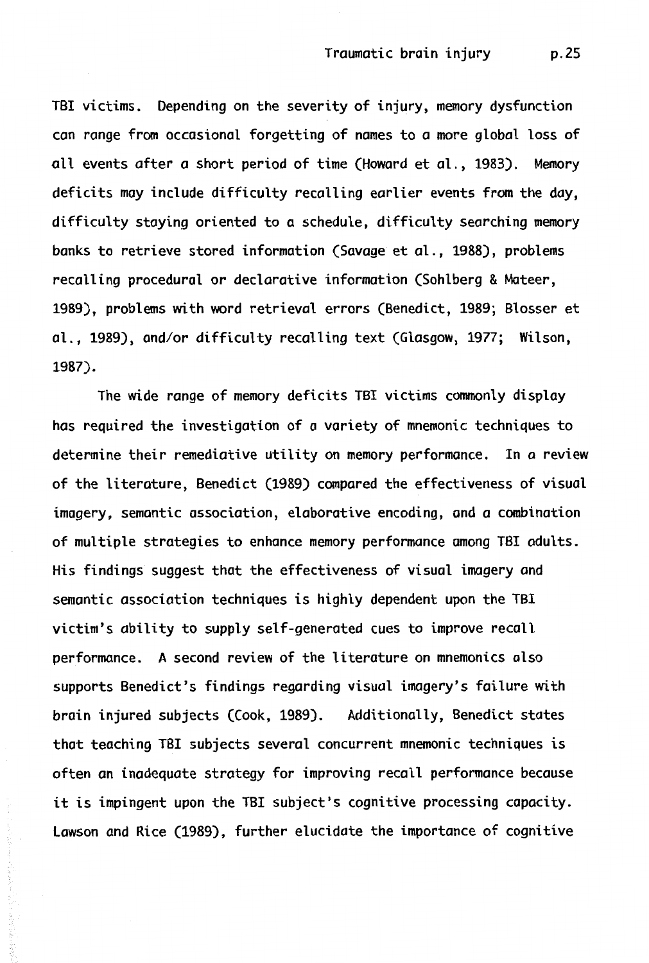TBI victims. Depending on the severity of injury, memory dysfunction can range from occasional forgetting of names to a more global loss of all events after a short period of time (Howard et al., 1983). Memory deficits may include difficulty recalling earlier events from the day, difficulty staying oriented to a schedule, difficulty searching memory banks to retrieve stored information (Savage et al., 1988), problems recalling procedural or declarative information (Sohlberg & Mateer, 1989), problems with word retrieval errors (Benedict, 1989; Blosser et al., 1989), and/or difficulty recalling text (Glasgow, 1977; Wilson, 1987).

The wide range of memory deficits TBI victims commonly display has required the investigation of a variety of mnemonic techniques to determine their remediative utility on memory performance. In a review of the literature, Benedict (1989) compared the effectiveness of visual imagery, semantic association, elaborative encoding, and a combination of multiple strategies to enhance memory performance among TBI adults. His findings suggest that the effectiveness of visual imagery and semantic association techniques is highly dependent upon the TBI victim's ability to supply self-generated cues to improve recall performance. A second review of the literature on mnemonics also supports Benedict's findings regarding visual imagery's failure with brain injured subjects (Cook, 1989). Additionally, Benedict states that teaching TBI subjects several concurrent mnemonic techniques is often *an* inadequate strategy for improving recall performance because it is impingent upon the TBI subject's cognitive processing capacity. Lawson and Rice (1989), further elucidate the importance of cognitive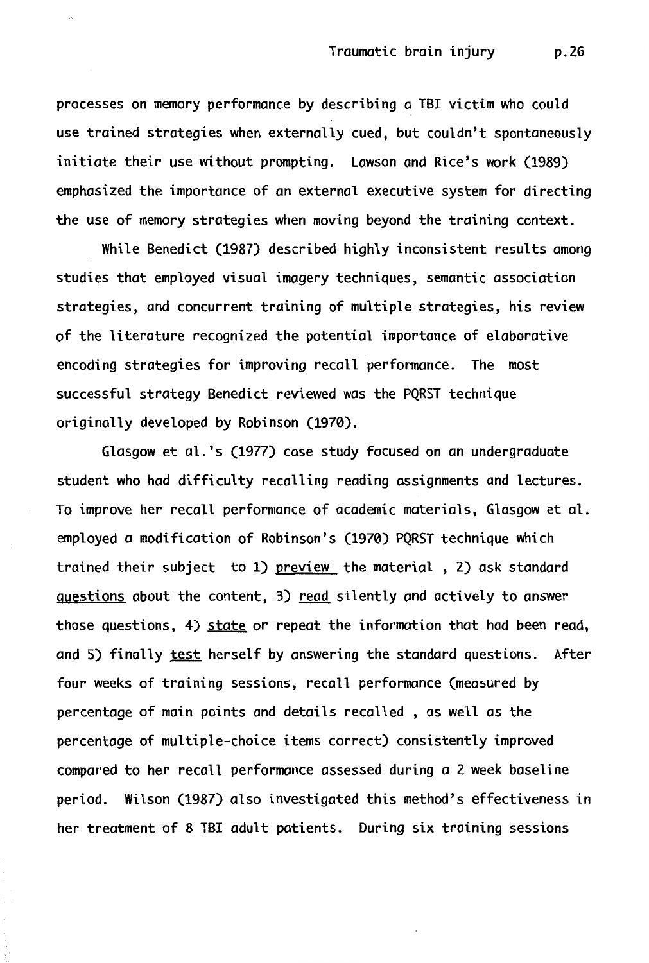processes on memory performance by describing a TBI victim who could use trained strategies when externally cued, but couldn't spontaneously initiate their use without prompting. Lawson and Rice's work (1989) emphasized the importance of an external executive system for directing the use of memory strategies when moving beyond the training context.

While Benedict (1987) described highly inconsistent results among studies that employed visual imagery techniques, semantic association strategies, and concurrent training of multiple strategies, his review of the literature recognized the potential importance of elaborative encoding strategies for improving recall performance. The most successful strategy Benedict reviewed was the PQRST technique originally developed by Robinson (1970).

Glasgow et al.'s (1977) case study focused on an undergraduate student who had difficulty recalling reading assignments and lectures. To improve her recall performance of academic materials, Glasgow et al. employed a modification of Robinson's (1970) PQRST technique which trained their subject to 1) preview the material , 2) ask standard questions about the content, 3) read silently and actively to answer those questions, 4) state or repeat the information that had been read, and 5) finally test herself by answering the standard questions. After four weeks of training sessions, recall performance (measured by percentage of main points and details recalled , as well as the percentage of multiple-choice items correct) consistently improved compared to her recall performance assessed during a 2 week baseline period. Wilson (1987) also investigated this method's effectiveness in her treatment of 8 TBI adult patients. During six training sessions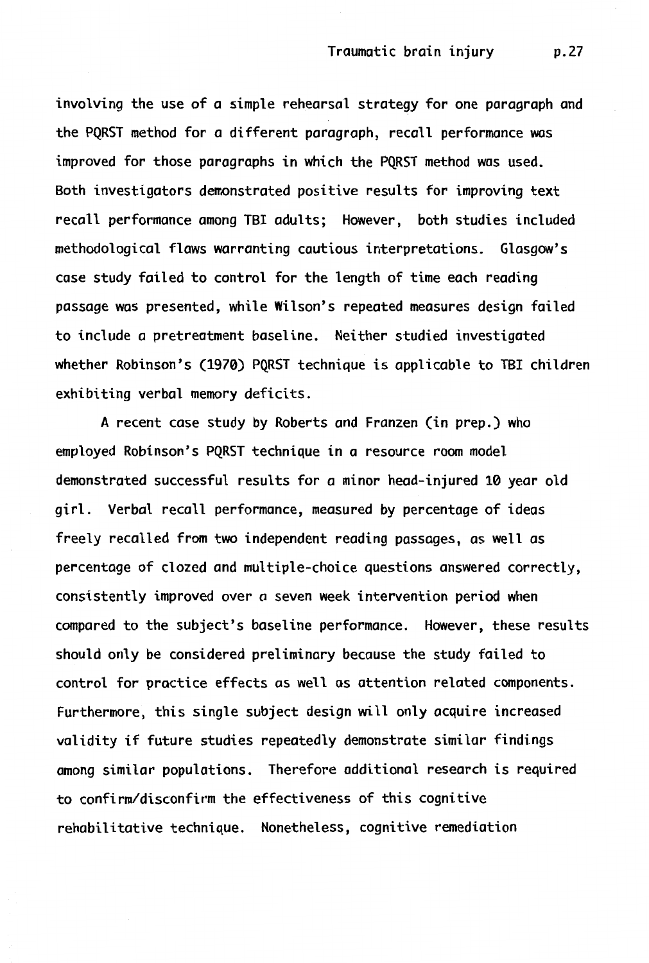involving the use of a simple rehearsal strategy for one paragraph and the PQRST method for a different paragraph, recall performance was improved for those paragraphs in which the PQRST method was used. Both investigators demonstrated positive results for improving text recall performance among TBI adults; However, both studies included methodological flaws warranting cautious interpretations. Glasgow's case study failed to control for the length of time each reading passage was presented, while Wilson's repeated measures design failed to include a pretreatment baseline. Neither studied investigated whether Robinson's (1970) PQRST technique is applicable to TBI children exhibiting verbal memory deficits.

A recent case study by Roberts and Franzen (in prep.) who employed Robinson's PQRST technique in a resource room model demonstrated successful results for a minor head-injured 10 year old girl. Verbal recall performance, measured by percentage of ideas freely recalled from two independent reading passages, as well as percentage of clozed and multiple-choice questions answered correctly, consistently improved over a seven week intervention period when compared to the subject's baseline performance. However, these results should only be considered preliminary because the study failed to control for practice effects as well as attention related components. Furthermore, this single subject design will only acquire increased validity if future studies repeatedly demonstrate similar findings among similar populations. Therefore additional research is required to confirrn/disconfirm the effectiveness of this cognitive rehabilitative technique. Nonetheless, cognitive remediation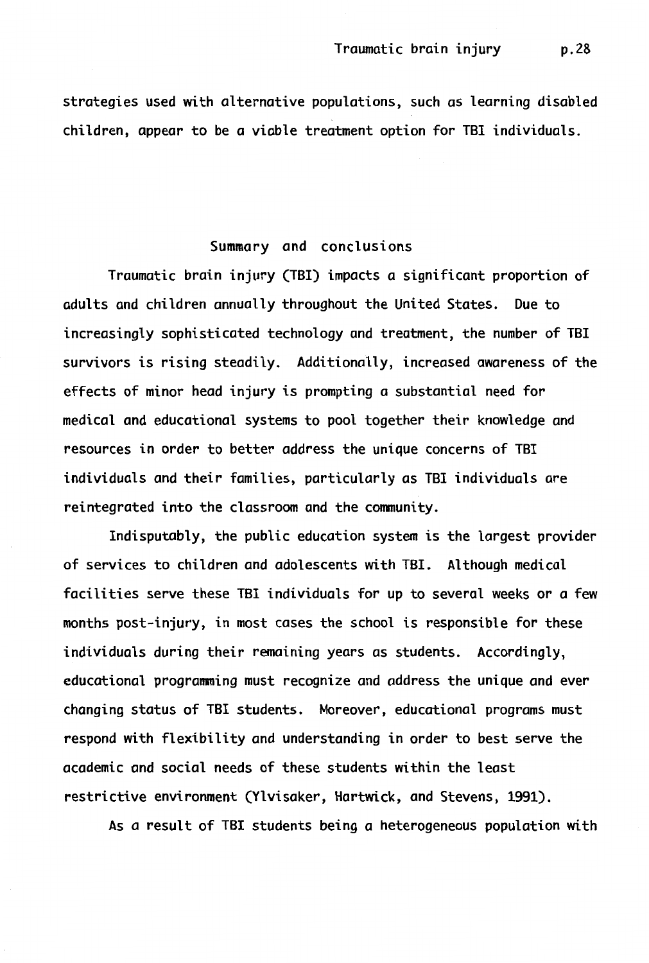strategies used with alternative populations, such as learning disabled children, appear to be a viable treatment option for TBI individuals.

# Summary and conclusions

Traumatic brain injury (TBI) impacts a significant proportion of adults and children annually throughout the United States. Due to increasingly sophisticated technology and treatment, the number of TBI survivors is rising steadily. Additionally, increased awareness of the effects of minor head injury is prompting a substantial need for medical and educational systems to pool together their knowledge and resources in order to better address the unique concerns of TBI individuals and their families, particularly as TBI individuals are reintegrated into the classroom and the community.

Indisputably, the public education system is the largest provider of services to children and adolescents with TBI. Although medical facilities serve these TBI individuals for up to several weeks or a few months post-injury, in most cases the school is responsible for these individuals during their remaining years as students. Accordingly, educational programming must recognize and address the unique and ever changing status of TBI students. Moreover, educational programs must respond with flexibility and understanding in order to best serve the academic and social needs of these students within the least restrictive environment (Ylvisaker, Hartwick, and Stevens, 1991).

As a result of TBI students being a heterogeneous population with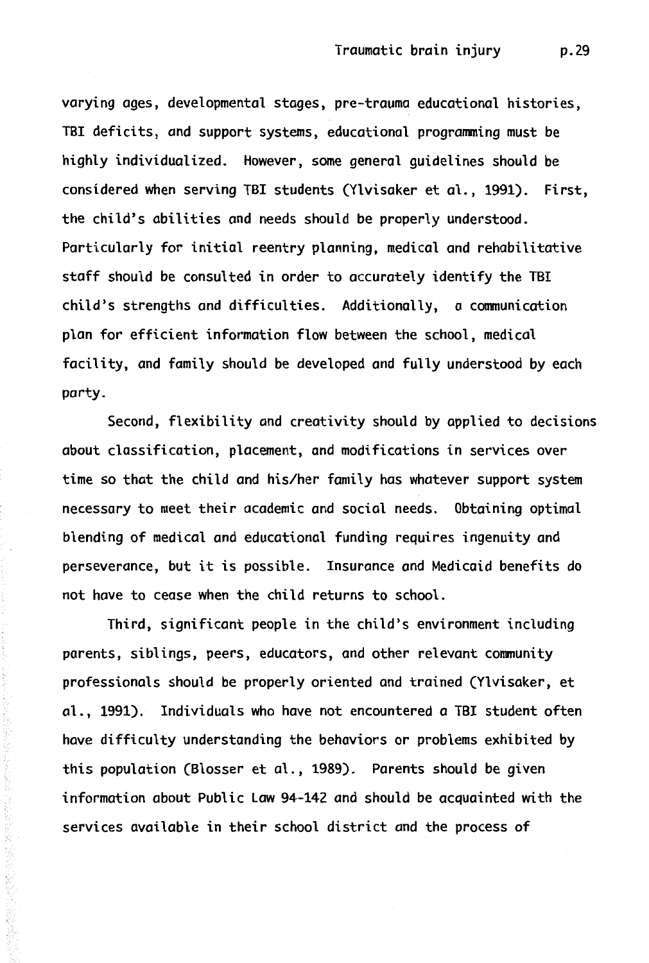varying ages, developmental stages, pre-trauma educational histories, TBI deficits, and support systems, educational programming must be highly individualized. However, some general guidelines should be considered when serving TBI students (Ylvisaker et al., 1991). First, the child's abilities and needs should be properly understood. Particularly for initial reentry planning, medical and rehabilitative staff should be consulted in order to accurately identify the TB! child's strengths and difficulties. Additionally, a communication plan for efficient information flow between the school, medical facility, and family should be developed and fully understood by each party.

Second, flexibility and creativity should by applied to decisions about classification, placement, and modifications in services over time so that the child and his/her family has whatever support system necessary to meet their academic and social needs. Obtaining optimal blending of medical and educational funding requires ingenuity and perseverance, but it is possible. Insurance and Medicaid benefits do not have to cease when the child returns to school.

Third, significant people in the child's environment including parents, siblings, peers, educators, and other relevant community professionals should be properly oriented and trained (Ylvisaker, et al., 1991). Individuals who have not encountered a TBI student often have difficulty understanding the behaviors or problems exhibited by this population (Blosser et al., 1989). Parents should be given information about Public Law 94-142 and should be acquainted with the services available in their school district and the process of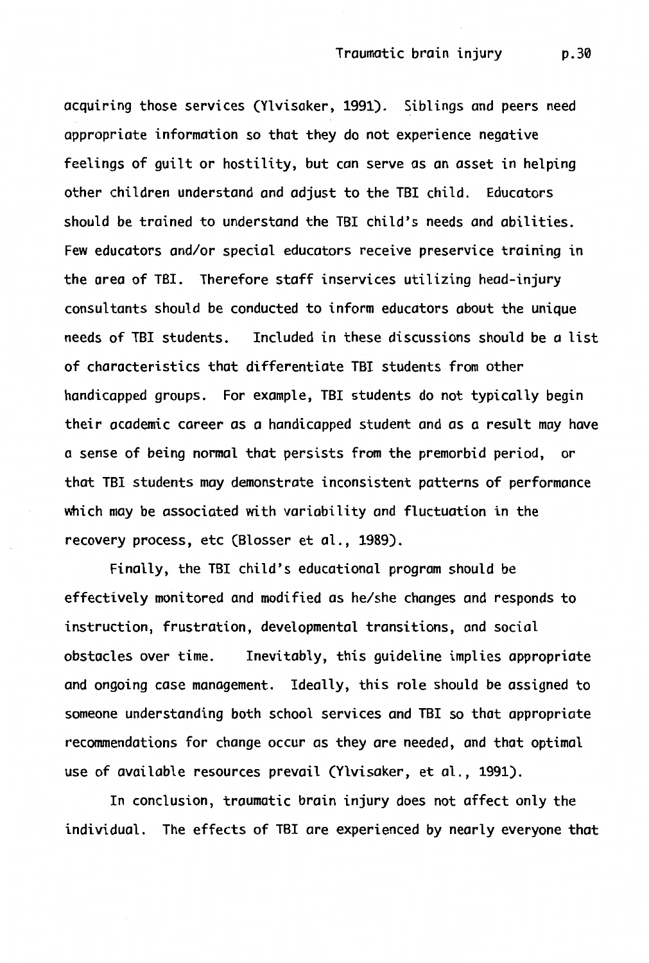acquiring those services (Ylvisaker, 1991). Siblings and peers need appropriate information so that they do not experience negative feelings of guilt or hostility, but can serve as an asset in helping other children understand and adjust to the TBI child. Educators should be trained to understand the TBI child's needs and abilities. Few educators and/or special educators receive preservice training in the area of TBI. Therefore staff inservices utilizing head-injury consultants should be conducted to inform educators about the unique needs of TBI students. Included in these discussions should be a list of characteristics that differentiate TBI students from other handicapped groups. For example, TBI students do not typically begin their academic career as *a* handicapped student and as *a* result may have a sense of being normal that persists from the premorbid period, or that TBI students may demonstrate inconsistent patterns of performance which may be associated with variability and fluctuation in the recovery process, etc (Blosser et al., 1989).

Finally, the TBI child's educational program should be effectively monitored and modified as he/she changes and responds to instruction, frustration, developmental transitions, and social obstacles over time. Inevitably, this guideline implies appropriate and ongoing case management. Ideally, this role should be assigned to someone understanding both school services and TBI so that appropriate recommendations for change occur as they are needed, and that optimal use of available resources prevail (Ylvisaker, et al., 1991).

In conclusion, traumatic brain injury does not affect only the individual. The effects of TBI are experienced by nearly everyone that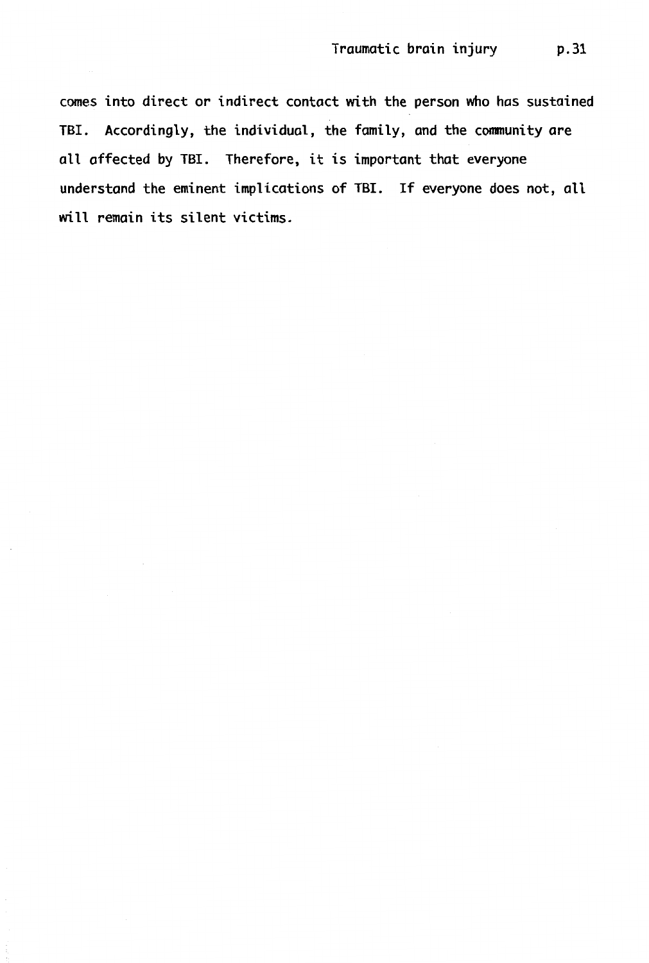comes into direct or indirect contact with the person who has sustained TBI. Accordingly, the individual, the family, and the community are all affected by TBI. Therefore, it is important that everyone understand the eminent implications of TBI. If everyone does not, all will remain its silent victims.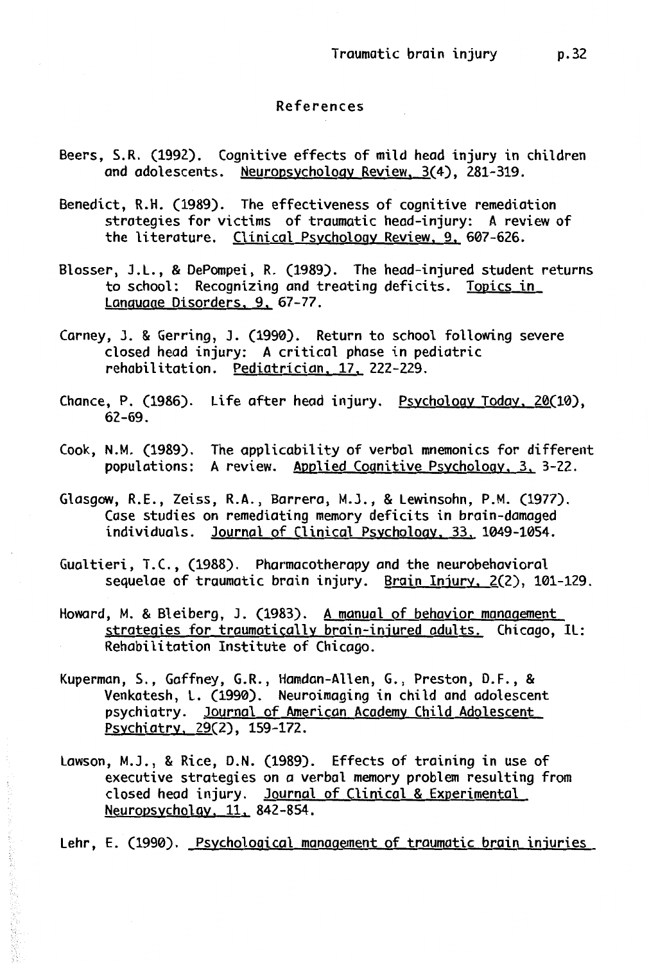#### References

- Beers, S.R. (1992). Cognitive effects of mild head injury in children and adolescents. Neuropsychology Review, 3(4), 281-319.
- Benedict, R.H. (1989). The effectiveness of cognitive remediation strategies for victims of traumatic head-injury: A review of the literature. Clinical Psychology Review, 9, 607-626.
- Blosser, J.L., & DePompei, R. (1989). The head-injured student returns to school: Recognizing and treating deficits. Topics in Language Disorders, 9, 67-77.
- Carney, J. & Gerring, J. (1990). Return to school following severe closed head injury: A critical phase in pediatric rehabilitation. Pediatrician, 17, 222-229.
- Chance, P. (1986). Life after head injury. Psychology Today, 20(10), 62-69.
- Cook, N.M. (1989). The applicability of verbal mnemonics for different populations: A review. Applied Cognitive Psychology, 3, 3-22.
- Glasgow, R.E., Zeiss, R.A., Barrera, M.J., & Lewinsohn, P.M. (1977). Case studies on remediating memory deficits in brain-damaged individuals. Journal of Clinical Psychology, 33, 1049-1054.
- Gualtieri, T.C., (1988). Pharmacotherapy and the neurobehavioral sequelae of traumatic brain injury. Brain Injury, 2(2), 101-129.
- Howard, M. & Bleiberg, J. (1983). A manual of behavior management strategies for traumatically brain-injured adults. Chicago, IL: Rehabilitation Institute of Chicago.
- Kuperman, S., Gaffney, G.R., Hamdan-Allen, G., Preston, D.F., & Venkatesh, L. (1990). Neuroimaging in child and adolescent psychiatry. Journal of American Academy Child Adolescent Psychiatry. 29(2), 159-172.
- Lawson, M.J., & Rice, D.N. (1989). Effects of training in use of executive strategies on a verbal memory problem resulting from closed head injury. Journal of Clinical & Experimental Neuropsycholgy, 11. 842-854.

Lehr, E. (1990). Psychological management of traumatic brain injuries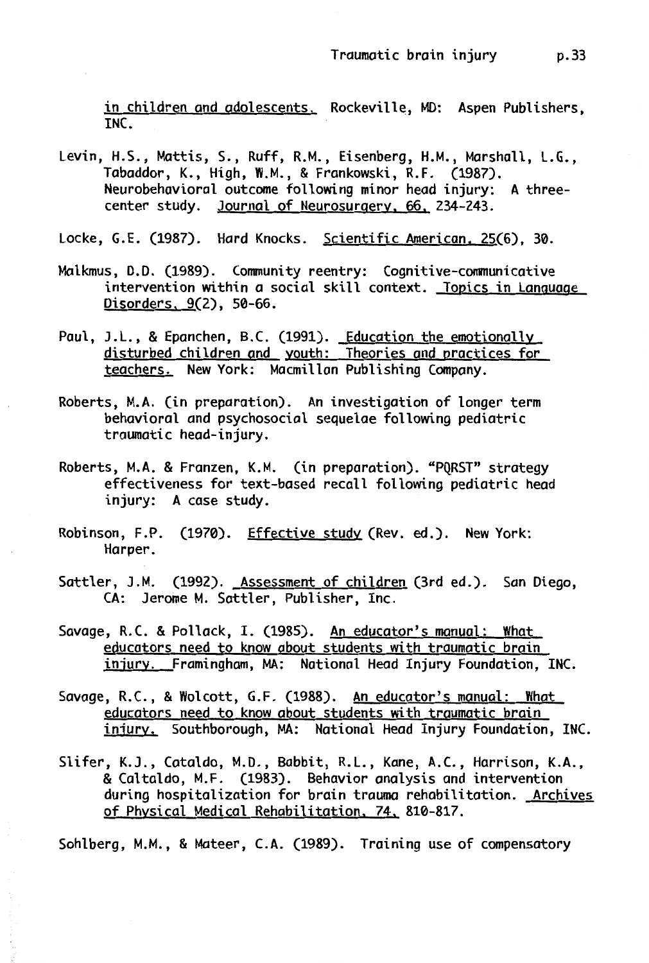in children and adolescents. Rockeville, MD: Aspen Publishers, INC.

- Levin, H.S., Mattis, S., Ruff, R.M., Eisenberg, H.M., Marshall, L.G., Tabaddor, K., High, W.M., & Frankowski, R.F. (1987). Neurobehavioral outcome following minor head injury: A threecenter study. Journal of Neurosurgery, 66, 234-243.
- Locke, G.E. (1987). Hard Knocks. Scientific American, 25(6), 30.
- Malkmus, D.D. (1989). Community reentry: Cognitive-communicative intervention within a social skill context. Topics in Language Disorders, 9(2), 50-66.
- Paul, J.L., & Epanchen, B.C. (1991). Education the emotionally disturbed children and youth: Theories and practices for teachers. New York: Macmillan Publishing Company.
- Roberts, M.A. (in preparation). An investigation of longer term behavioral and psychosocial sequelae following pediatric traumatic head-injury.
- Roberts, M.A. & Franzen, K.M. (in preparation). "PQRST" strategy effectiveness for text-based recall following pediatric head injury: A case study.
- Robinson, F.P. (1970). Effective study (Rev. ed.). New York: Harper.
- Sattler, J.M. (1992). Assessment of children (3rd ed.). San Diego, CA: Jerome M. Sattler, Publisher, Inc.
- Savage, R.C. & Pollack, I. (1985). An educator's manual: What educators need to know about students with traumatic brain injury. Framingham, MA: National Head Injury Foundation, INC.
- Savage, R.C., & Wolcott, G.F. (1988). An educator's manual: What educators need to know about students with traumatic brain injury, Southborough, MA: National Head Injury Foundation, INC.
- Slifer, K.J., Cataldo, M.D., Babbit, R.L., Kane, A.C., Harrison, **K.A.,**  & Caltaldo, M.F. (1983). Behavior analysis and intervention during hospitalization for brain trauma rehabilitation. Archives of Physical Medical Rehabilitation, 74, 810-817.

Sohlberg, M.M., & Mateer, C.A. (1989). Training use of compensatory